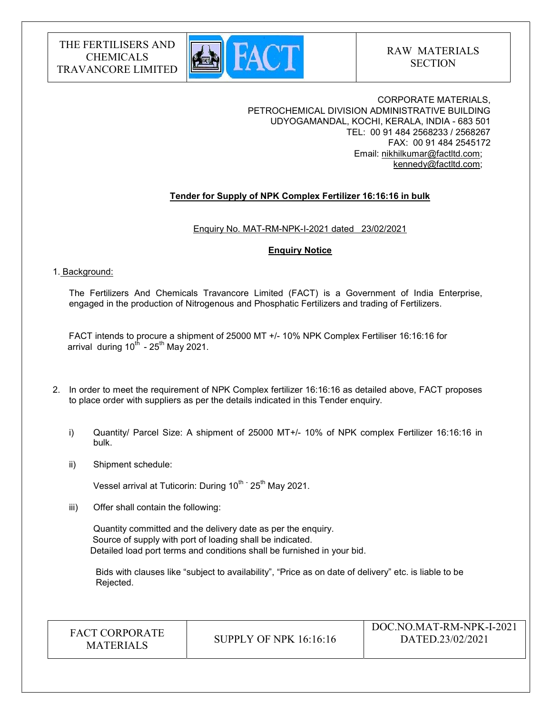

CORPORATE MATERIALS, PETROCHEMICAL DIVISION ADMINISTRATIVE BUILDING UDYOGAMANDAL, KOCHI, KERALA, INDIA - 683 501 TEL: 00 91 484 2568233 / 2568267 FAX: 00 91 484 2545172 Email: nikhilkumar@factltd.com; kennedy@factltd.com;

# Tender for Supply of NPK Complex Fertilizer 16:16:16 in bulk

Enquiry No. MAT-RM-NPK-I-2021 dated 23/02/2021

## Enquiry Notice

## 1. Background:

The Fertilizers And Chemicals Travancore Limited (FACT) is a Government of India Enterprise, engaged in the production of Nitrogenous and Phosphatic Fertilizers and trading of Fertilizers.

 FACT intends to procure a shipment of 25000 MT +/- 10% NPK Complex Fertiliser 16:16:16 for arrival during  $10^{th}$  -  $25^{th}$  May 2021.

- 2. In order to meet the requirement of NPK Complex fertilizer 16:16:16 as detailed above, FACT proposes to place order with suppliers as per the details indicated in this Tender enquiry.
	- i) Quantity/ Parcel Size: A shipment of 25000 MT+/- 10% of NPK complex Fertilizer 16:16:16 in bulk.
	- ii) Shipment schedule:

Vessel arrival at Tuticorin: During 10<sup>th -</sup> 25<sup>th</sup> May 2021.

iii) Offer shall contain the following:

Quantity committed and the delivery date as per the enquiry. Source of supply with port of loading shall be indicated. Detailed load port terms and conditions shall be furnished in your bid.

 Bids with clauses like "subject to availability", "Price as on date of delivery" etc. is liable to be Rejected.

FACT CORPORATE

ET CONFORATE SUPPLY OF NPK 16:16:16<br>MATERIALS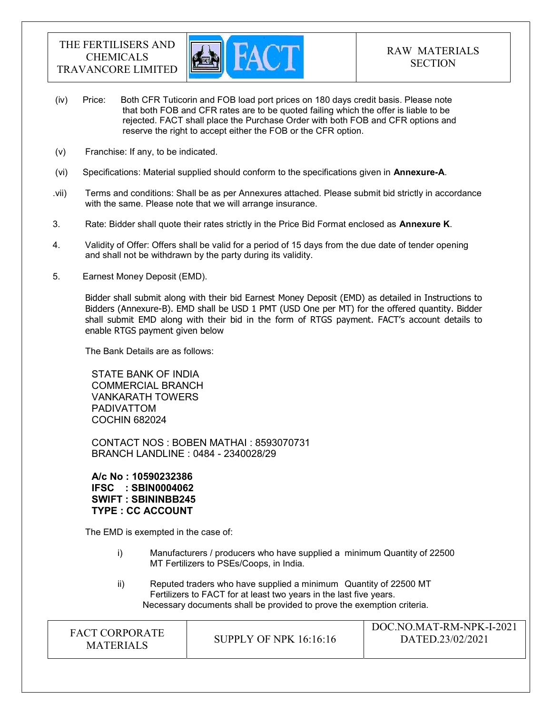

- (iv) Price: Both CFR Tuticorin and FOB load port prices on 180 days credit basis. Please note that both FOB and CFR rates are to be quoted failing which the offer is liable to be rejected. FACT shall place the Purchase Order with both FOB and CFR options and reserve the right to accept either the FOB or the CFR option.
- (v) Franchise: If any, to be indicated.
- (vi) Specifications: Material supplied should conform to the specifications given in Annexure-A.
- .vii) Terms and conditions: Shall be as per Annexures attached. Please submit bid strictly in accordance with the same. Please note that we will arrange insurance.
- 3. Rate: Bidder shall quote their rates strictly in the Price Bid Format enclosed as **Annexure K**.
- 4. Validity of Offer: Offers shall be valid for a period of 15 days from the due date of tender opening and shall not be withdrawn by the party during its validity.
- 5. Earnest Money Deposit (EMD).

Bidder shall submit along with their bid Earnest Money Deposit (EMD) as detailed in Instructions to Bidders (Annexure-B). EMD shall be USD 1 PMT (USD One per MT) for the offered quantity. Bidder shall submit EMD along with their bid in the form of RTGS payment. FACT's account details to enable RTGS payment given below

The Bank Details are as follows:

STATE BANK OF INDIA COMMERCIAL BRANCH VANKARATH TOWERS PADIVATTOM COCHIN 682024

CONTACT NOS : BOBEN MATHAI : 8593070731 BRANCH LANDLINE : 0484 - 2340028/29

A/c No : 10590232386 IFSC : SBIN0004062 SWIFT : SBININBB245 TYPE : CC ACCOUNT

The EMD is exempted in the case of:

- i) Manufacturers / producers who have supplied a minimum Quantity of 22500 MT Fertilizers to PSEs/Coops, in India.
- ii) Reputed traders who have supplied a minimum Quantity of 22500 MT Fertilizers to FACT for at least two years in the last five years. Necessary documents shall be provided to prove the exemption criteria.

| <b>FACT CORPORATE</b><br><b>MATERIALS</b> | SUPPLY OF NPK 16:16:16 | DOC.NO.MAT-RM-NPK-I-2021<br>DATED.23/02/2021 |
|-------------------------------------------|------------------------|----------------------------------------------|
|-------------------------------------------|------------------------|----------------------------------------------|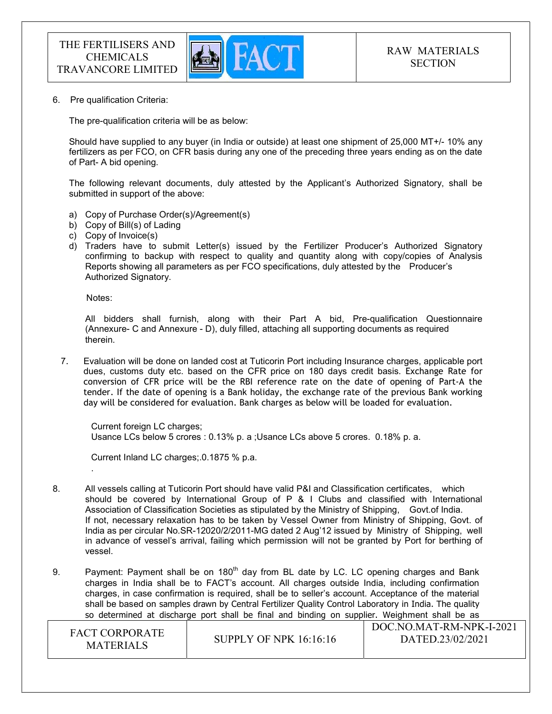

6. Pre qualification Criteria:

The pre-qualification criteria will be as below:

Should have supplied to any buyer (in India or outside) at least one shipment of 25,000 MT+/- 10% any fertilizers as per FCO, on CFR basis during any one of the preceding three years ending as on the date of Part- A bid opening.

The following relevant documents, duly attested by the Applicant's Authorized Signatory, shall be submitted in support of the above:

- a) Copy of Purchase Order(s)/Agreement(s)
- b) Copy of Bill(s) of Lading
- c) Copy of Invoice(s)
- d) Traders have to submit Letter(s) issued by the Fertilizer Producer's Authorized Signatory confirming to backup with respect to quality and quantity along with copy/copies of Analysis Reports showing all parameters as per FCO specifications, duly attested by the Producer's Authorized Signatory.

Notes:

.

 All bidders shall furnish, along with their Part A bid, Pre-qualification Questionnaire (Annexure- C and Annexure - D), duly filled, attaching all supporting documents as required therein.

7. Evaluation will be done on landed cost at Tuticorin Port including Insurance charges, applicable port dues, customs duty etc. based on the CFR price on 180 days credit basis. Exchange Rate for conversion of CFR price will be the RBI reference rate on the date of opening of Part-A the tender. If the date of opening is a Bank holiday, the exchange rate of the previous Bank working day will be considered for evaluation. Bank charges as below will be loaded for evaluation.

Current foreign LC charges; Usance LCs below 5 crores : 0.13% p. a ;Usance LCs above 5 crores. 0.18% p. a.

Current Inland LC charges;.0.1875 % p.a.

- 8. All vessels calling at Tuticorin Port should have valid P&I and Classification certificates, which should be covered by International Group of P & I Clubs and classified with International Association of Classification Societies as stipulated by the Ministry of Shipping, Govt.of India. If not, necessary relaxation has to be taken by Vessel Owner from Ministry of Shipping, Govt. of India as per circular No.SR-12020/2/2011-MG dated 2 Aug'12 issued by Ministry of Shipping, well in advance of vessel's arrival, failing which permission will not be granted by Port for berthing of vessel.
- 9. Payment: Payment shall be on 180<sup>th</sup> day from BL date by LC. LC opening charges and Bank charges in India shall be to FACT's account. All charges outside India, including confirmation charges, in case confirmation is required, shall be to seller's account. Acceptance of the material shall be based on samples drawn by Central Fertilizer Quality Control Laboratory in India. The quality so determined at discharge port shall be final and binding on supplier. Weighment shall be as

| <b>FACT CORPORATE</b><br><b>MATERIALS</b> | SUPPLY OF NPK $16:16:16$ | DOC.NO.MAT-RM-NPK-I-2021<br>DATED.23/02/2021 |
|-------------------------------------------|--------------------------|----------------------------------------------|
|-------------------------------------------|--------------------------|----------------------------------------------|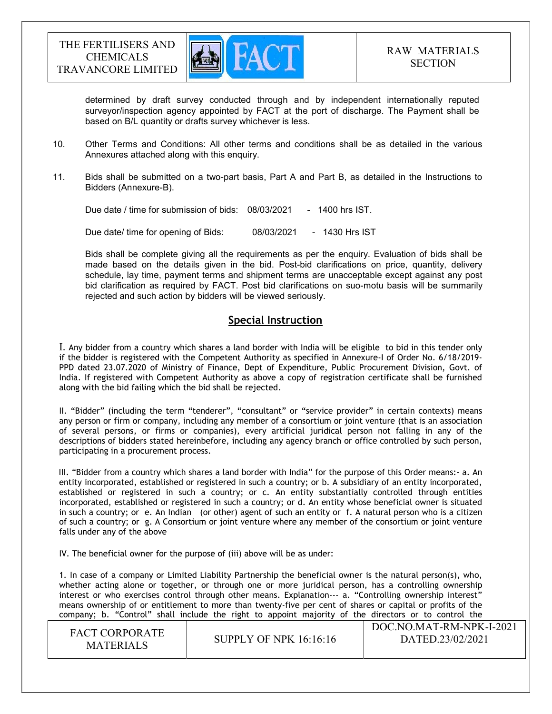

determined by draft survey conducted through and by independent internationally reputed surveyor/inspection agency appointed by FACT at the port of discharge. The Payment shall be based on B/L quantity or drafts survey whichever is less.

- 10. Other Terms and Conditions: All other terms and conditions shall be as detailed in the various Annexures attached along with this enquiry.
- 11. Bids shall be submitted on a two-part basis, Part A and Part B, as detailed in the Instructions to Bidders (Annexure-B).

Due date / time for submission of bids: 08/03/2021 - 1400 hrs IST.

Due date/ time for opening of Bids: 08/03/2021 - 1430 Hrs IST

 Bids shall be complete giving all the requirements as per the enquiry. Evaluation of bids shall be made based on the details given in the bid. Post-bid clarifications on price, quantity, delivery schedule, lay time, payment terms and shipment terms are unacceptable except against any post bid clarification as required by FACT. Post bid clarifications on suo-motu basis will be summarily rejected and such action by bidders will be viewed seriously.

# Special Instruction

I. Any bidder from a country which shares a land border with India will be eligible to bid in this tender only if the bidder is registered with the Competent Authority as specified in Annexure-I of Order No. 6/18/2019- PPD dated 23.07.2020 of Ministry of Finance, Dept of Expenditure, Public Procurement Division, Govt. of India. If registered with Competent Authority as above a copy of registration certificate shall be furnished along with the bid failing which the bid shall be rejected.

II. "Bidder" (including the term "tenderer", "consultant" or "service provider" in certain contexts) means any person or firm or company, including any member of a consortium or joint venture (that is an association of several persons, or firms or companies), every artificial juridical person not falling in any of the descriptions of bidders stated hereinbefore, including any agency branch or office controlled by such person, participating in a procurement process.

 III. "Bidder from a country which shares a land border with India" for the purpose of this Order means:- a. An entity incorporated, established or registered in such a country; or b. A subsidiary of an entity incorporated, established or registered in such a country; or c. An entity substantially controlled through entities incorporated, established or registered in such a country; or d. An entity whose beneficial owner is situated in such a country; or e. An Indian (or other) agent of such an entity or f. A natural person who is a citizen of such a country; or g. A Consortium or joint venture where any member of the consortium or joint venture falls under any of the above

IV. The beneficial owner for the purpose of (iii) above will be as under:

1. In case of a company or Limited Liability Partnership the beneficial owner is the natural person(s), who, whether acting alone or together, or through one or more juridical person, has a controlling ownership interest or who exercises control through other means. Explanation--- a. "Controlling ownership interest" means ownership of or entitlement to more than twenty-five per cent of shares or capital or profits of the company; b. "Control" shall include the right to appoint majority of the directors or to control the

| <b>FACT CORPORATE</b><br><b>MATERIALS</b> | SUPPLY OF NPK $16:16:16$ | DOC.NO.MAT-RM-NPK-I-2021<br>DATED.23/02/2021 |
|-------------------------------------------|--------------------------|----------------------------------------------|
|-------------------------------------------|--------------------------|----------------------------------------------|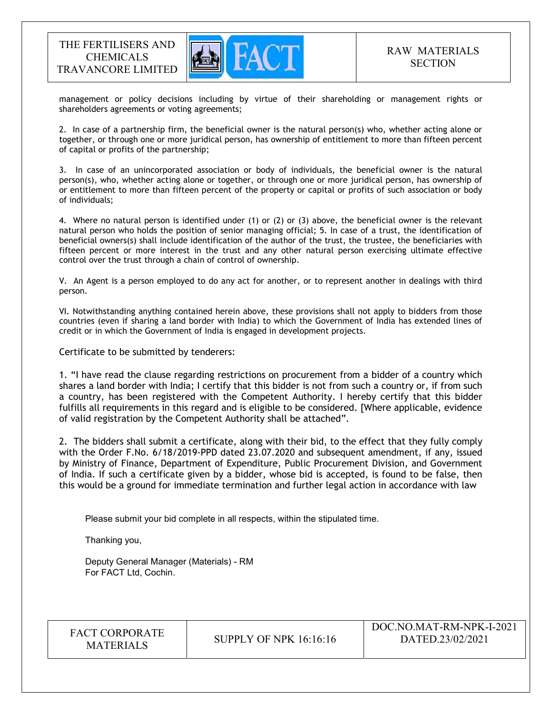

management or policy decisions including by virtue of their shareholding or management rights or shareholders agreements or voting agreements;

2. In case of a partnership firm, the beneficial owner is the natural person(s) who, whether acting alone or together, or through one or more juridical person, has ownership of entitlement to more than fifteen percent of capital or profits of the partnership;

3. In case of an unincorporated association or body of individuals, the beneficial owner is the natural person(s), who, whether acting alone or together, or through one or more juridical person, has ownership of or entitlement to more than fifteen percent of the property or capital or profits of such association or body of individuals;

4. Where no natural person is identified under (1) or (2) or (3) above, the beneficial owner is the relevant natural person who holds the position of senior managing official; 5. In case of a trust, the identification of beneficial owners(s) shall include identification of the author of the trust, the trustee, the beneficiaries with fifteen percent or more interest in the trust and any other natural person exercising ultimate effective control over the trust through a chain of control of ownership.

V. An Agent is a person employed to do any act for another, or to represent another in dealings with third person.

VI. Notwithstanding anything contained herein above, these provisions shall not apply to bidders from those countries (even if sharing a land border with India) to which the Government of India has extended lines of credit or in which the Government of India is engaged in development projects.

Certificate to be submitted by tenderers:

1. "I have read the clause regarding restrictions on procurement from a bidder of a country which shares a land border with India; I certify that this bidder is not from such a country or, if from such a country, has been registered with the Competent Authority. I hereby certify that this bidder fulfills all requirements in this regard and is eligible to be considered. [Where applicable, evidence of valid registration by the Competent Authority shall be attached".

2. The bidders shall submit a certificate, along with their bid, to the effect that they fully comply with the Order F.No. 6/18/2019-PPD dated 23.07.2020 and subsequent amendment, if any, issued by Ministry of Finance, Department of Expenditure, Public Procurement Division, and Government of India. If such a certificate given by a bidder, whose bid is accepted, is found to be false, then this would be a ground for immediate termination and further legal action in accordance with law

Please submit your bid complete in all respects, within the stipulated time.

Thanking you,

Deputy General Manager (Materials) - RM For FACT Ltd, Cochin.

| <b>FACT CORPORATE</b> |
|-----------------------|
| <b>MATERIALS</b>      |

**SUPPLY OF NPK 16:16:16**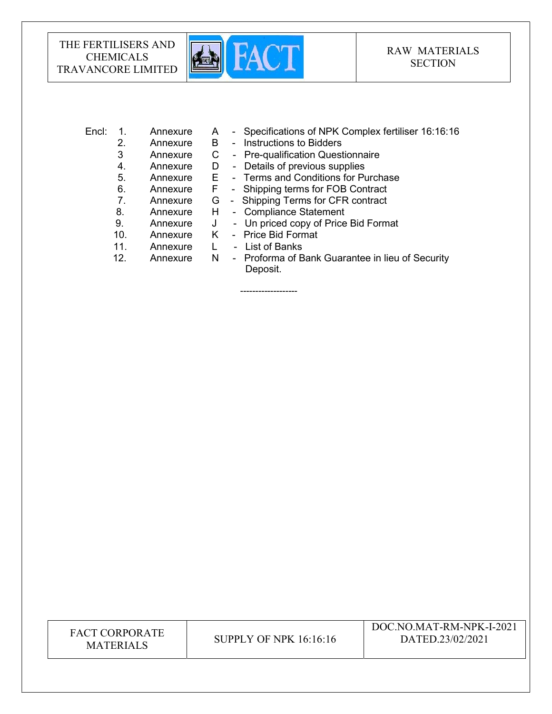

# RAW MATERIALS **SECTION**

|  |                              |  | Encl: 1. Annexure A - Specifications of NPK Complex fertiliser 16:16:16 |
|--|------------------------------|--|-------------------------------------------------------------------------|
|  |                              |  | Annexure B - Instructions to Bidders                                    |
|  | $\Lambda$ ppovince $\Lambda$ |  | Dre qualification Quastionnaire                                         |

- 3 Annexure C Pre-qualification Questionnaire
- 4. Annexure D Details of previous supplies
- 5. Annexure E Terms and Conditions for Purchase
- 6. Annexure F Shipping terms for FOB Contract
- 7. Annexure G Shipping Terms for CFR contract
- 8. Annexure H Compliance Statement
- 9. Annexure J Un priced copy of Price Bid Format
- 10. Annexure K Price Bid Format

-------------------

- 11. Annexure L List of Banks
- 12. Annexure N Proforma of Bank Guarantee in lieu of Security Deposit.

FACT CORPORATE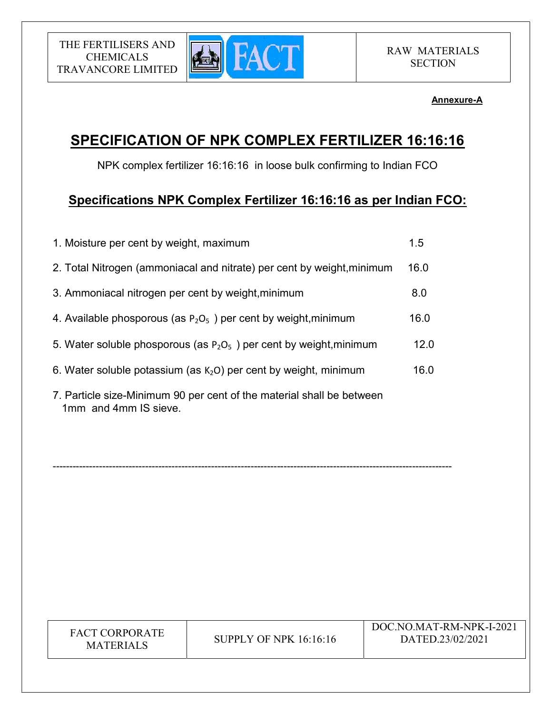

# Annexure-A

# SPECIFICATION OF NPK COMPLEX FERTILIZER 16:16:16

NPK complex fertilizer 16:16:16 in loose bulk confirming to Indian FCO

# Specifications NPK Complex Fertilizer 16:16:16 as per Indian FCO:

| 1. Moisture per cent by weight, maximum                                                        | 1.5  |
|------------------------------------------------------------------------------------------------|------|
| 2. Total Nitrogen (ammoniacal and nitrate) per cent by weight, minimum                         | 16.0 |
| 3. Ammoniacal nitrogen per cent by weight, minimum                                             | 8.0  |
| 4. Available phosporous (as $P_2O_5$ ) per cent by weight, minimum                             | 16.0 |
| 5. Water soluble phosporous (as $P_2O_5$ ) per cent by weight, minimum                         | 12.0 |
| 6. Water soluble potassium (as $K2O$ ) per cent by weight, minimum                             | 16.0 |
| 7. Particle size-Minimum 90 per cent of the material shall be between<br>1mm and 4mm IS sieve. |      |

-------------------------------------------------------------------------------------------------------------------------

| <b>FACT CORPORATE</b><br>SUPPLY OF NPK $16:16:16$<br><b>MATERIALS</b> | DOC.NO.MAT-RM-NPK-I-2021<br>DATED.23/02/2021 |
|-----------------------------------------------------------------------|----------------------------------------------|
|-----------------------------------------------------------------------|----------------------------------------------|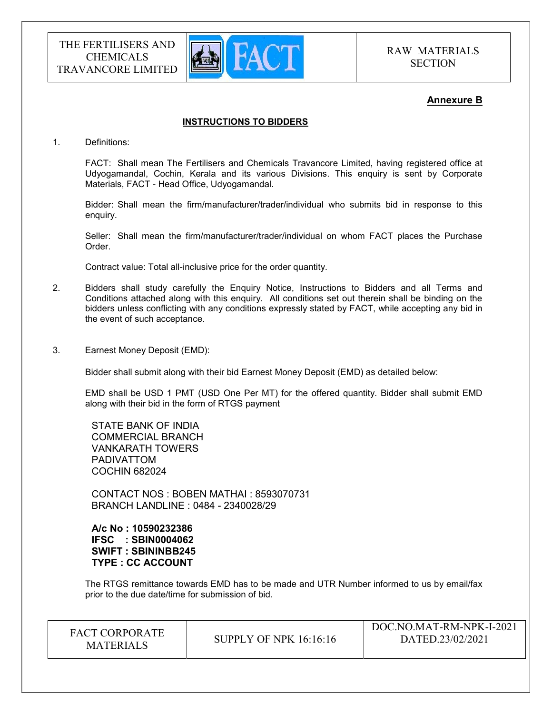

## Annexure B

### INSTRUCTIONS TO BIDDERS

1. Definitions:

FACT: Shall mean The Fertilisers and Chemicals Travancore Limited, having registered office at Udyogamandal, Cochin, Kerala and its various Divisions. This enquiry is sent by Corporate Materials, FACT - Head Office, Udyogamandal.

Bidder: Shall mean the firm/manufacturer/trader/individual who submits bid in response to this enquiry.

Seller: Shall mean the firm/manufacturer/trader/individual on whom FACT places the Purchase Order.

Contract value: Total all-inclusive price for the order quantity.

- 2. Bidders shall study carefully the Enquiry Notice, Instructions to Bidders and all Terms and Conditions attached along with this enquiry. All conditions set out therein shall be binding on the bidders unless conflicting with any conditions expressly stated by FACT, while accepting any bid in the event of such acceptance.
- 3. Earnest Money Deposit (EMD):

Bidder shall submit along with their bid Earnest Money Deposit (EMD) as detailed below:

EMD shall be USD 1 PMT (USD One Per MT) for the offered quantity. Bidder shall submit EMD along with their bid in the form of RTGS payment

STATE BANK OF INDIA COMMERCIAL BRANCH VANKARATH TOWERS PADIVATTOM COCHIN 682024

CONTACT NOS : BOBEN MATHAI : 8593070731 BRANCH LANDLINE : 0484 - 2340028/29

A/c No : 10590232386 IFSC : SBIN0004062 SWIFT : SBININBB245 TYPE : CC ACCOUNT

The RTGS remittance towards EMD has to be made and UTR Number informed to us by email/fax prior to the due date/time for submission of bid.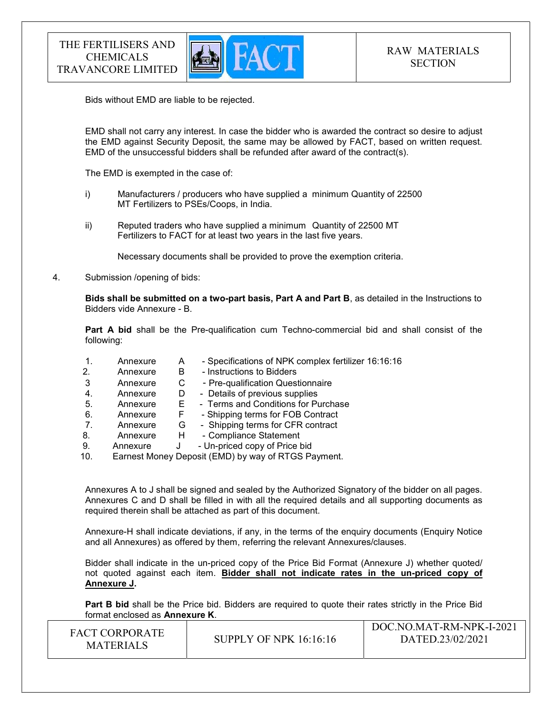

Bids without EMD are liable to be rejected.

EMD shall not carry any interest. In case the bidder who is awarded the contract so desire to adjust the EMD against Security Deposit, the same may be allowed by FACT, based on written request. EMD of the unsuccessful bidders shall be refunded after award of the contract(s).

The EMD is exempted in the case of:

- i) Manufacturers / producers who have supplied a minimum Quantity of 22500 MT Fertilizers to PSEs/Coops, in India.
- ii) Reputed traders who have supplied a minimum Quantity of 22500 MT Fertilizers to FACT for at least two years in the last five years.

Necessary documents shall be provided to prove the exemption criteria.

4. Submission /opening of bids:

Bids shall be submitted on a two-part basis, Part A and Part B, as detailed in the Instructions to Bidders vide Annexure - B.

Part A bid shall be the Pre-qualification cum Techno-commercial bid and shall consist of the following:

- 1. Annexure A Specifications of NPK complex fertilizer 16:16:16
- 2. Annexure B Instructions to Bidders
- 3 Annexure C Pre-qualification Questionnaire
- 4. Annexure D Details of previous supplies
- 5. Annexure E Terms and Conditions for Purchase
- 6. Annexure F Shipping terms for FOB Contract
- 7. Annexure G Shipping terms for CFR contract
- 8. Annexure H Compliance Statement
- 9. Annexure J Un-priced copy of Price bid
- 10. Earnest Money Deposit (EMD) by way of RTGS Payment.

Annexures A to J shall be signed and sealed by the Authorized Signatory of the bidder on all pages. Annexures C and D shall be filled in with all the required details and all supporting documents as required therein shall be attached as part of this document.

Annexure-H shall indicate deviations, if any, in the terms of the enquiry documents (Enquiry Notice and all Annexures) as offered by them, referring the relevant Annexures/clauses.

Bidder shall indicate in the un-priced copy of the Price Bid Format (Annexure J) whether quoted/ not quoted against each item. Bidder shall not indicate rates in the un-priced copy of Annexure J.

Part B bid shall be the Price bid. Bidders are required to quote their rates strictly in the Price Bid format enclosed as Annexure K.

| <b>FACT CORPORATE</b><br><b>MATERIALS</b> | SUPPLY OF NPK $16:16:16$ | DOC.NO.MAT-RM-NPK-I-2021<br>DATED.23/02/2021 |
|-------------------------------------------|--------------------------|----------------------------------------------|
|-------------------------------------------|--------------------------|----------------------------------------------|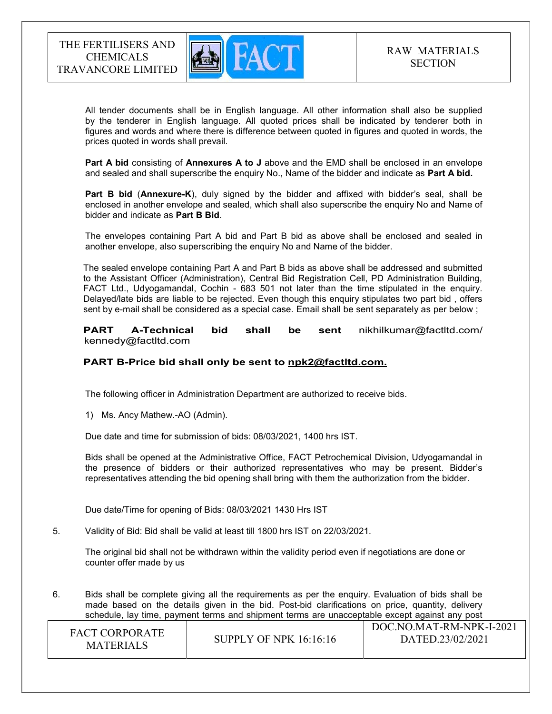

 All tender documents shall be in English language. All other information shall also be supplied by the tenderer in English language. All quoted prices shall be indicated by tenderer both in figures and words and where there is difference between quoted in figures and quoted in words, the prices quoted in words shall prevail.

Part A bid consisting of Annexures A to J above and the EMD shall be enclosed in an envelope and sealed and shall superscribe the enquiry No., Name of the bidder and indicate as Part A bid.

Part B bid (Annexure-K), duly signed by the bidder and affixed with bidder's seal, shall be enclosed in another envelope and sealed, which shall also superscribe the enquiry No and Name of bidder and indicate as Part B Bid.

The envelopes containing Part A bid and Part B bid as above shall be enclosed and sealed in another envelope, also superscribing the enquiry No and Name of the bidder.

The sealed envelope containing Part A and Part B bids as above shall be addressed and submitted to the Assistant Officer (Administration), Central Bid Registration Cell, PD Administration Building, FACT Ltd., Udyogamandal, Cochin - 683 501 not later than the time stipulated in the enquiry. Delayed/late bids are liable to be rejected. Even though this enquiry stipulates two part bid , offers sent by e-mail shall be considered as a special case. Email shall be sent separately as per below ;

 PART A-Technical bid shall be sent nikhilkumar@factltd.com/ kennedy@factltd.com and the state of the state of the state of the state of the state of the state of the state of the state of the<br>State of the state of the state of the state of the state of the state of the state of the state of the state

## PART B-Price bid shall only be sent to npk2@factltd.com.

The following officer in Administration Department are authorized to receive bids.

1) Ms. Ancy Mathew.-AO (Admin).

Due date and time for submission of bids: 08/03/2021, 1400 hrs IST.

Bids shall be opened at the Administrative Office, FACT Petrochemical Division, Udyogamandal in the presence of bidders or their authorized representatives who may be present. Bidder's representatives attending the bid opening shall bring with them the authorization from the bidder.

Due date/Time for opening of Bids: 08/03/2021 1430 Hrs IST

5. Validity of Bid: Bid shall be valid at least till 1800 hrs IST on 22/03/2021.

The original bid shall not be withdrawn within the validity period even if negotiations are done or counter offer made by us

6. Bids shall be complete giving all the requirements as per the enquiry. Evaluation of bids shall be made based on the details given in the bid. Post-bid clarifications on price, quantity, delivery schedule, lay time, payment terms and shipment terms are unacceptable except against any post

| <b>FACT CORPORATE</b><br><b>MATERIALS</b> | SUPPLY OF NPK $16:16:16$ | DOC.NO.MAT-RM-NPK-I-2021<br>DATED.23/02/2021 |
|-------------------------------------------|--------------------------|----------------------------------------------|
|-------------------------------------------|--------------------------|----------------------------------------------|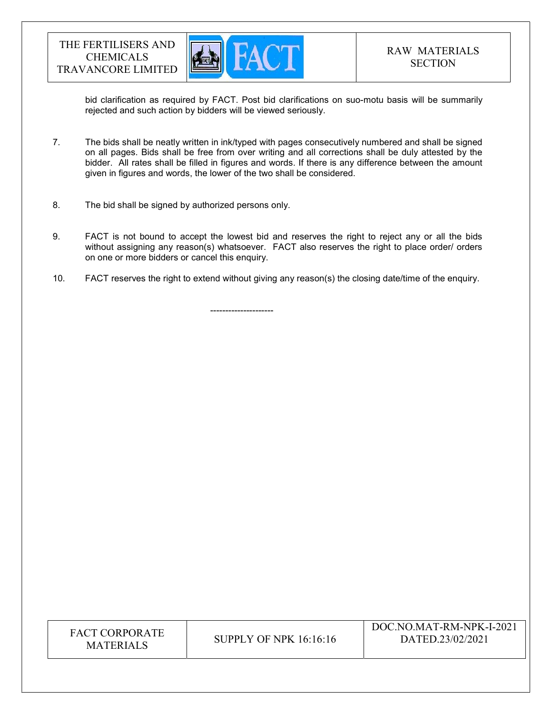

bid clarification as required by FACT. Post bid clarifications on suo-motu basis will be summarily rejected and such action by bidders will be viewed seriously.

- 7. The bids shall be neatly written in ink/typed with pages consecutively numbered and shall be signed on all pages. Bids shall be free from over writing and all corrections shall be duly attested by the bidder. All rates shall be filled in figures and words. If there is any difference between the amount given in figures and words, the lower of the two shall be considered.
- 8. The bid shall be signed by authorized persons only.
- 9. FACT is not bound to accept the lowest bid and reserves the right to reject any or all the bids without assigning any reason(s) whatsoever. FACT also reserves the right to place order/ orders on one or more bidders or cancel this enquiry.
- 10. FACT reserves the right to extend without giving any reason(s) the closing date/time of the enquiry.

---------------------

| <b>FACT CORPORATE</b><br><b>MATERIALS</b> | <b>SUPPLY OF NPK 16:16:16</b> | DOC.NO.MAT-RM-NPK-I-2021<br>DATED.23/02/2021 |
|-------------------------------------------|-------------------------------|----------------------------------------------|
|-------------------------------------------|-------------------------------|----------------------------------------------|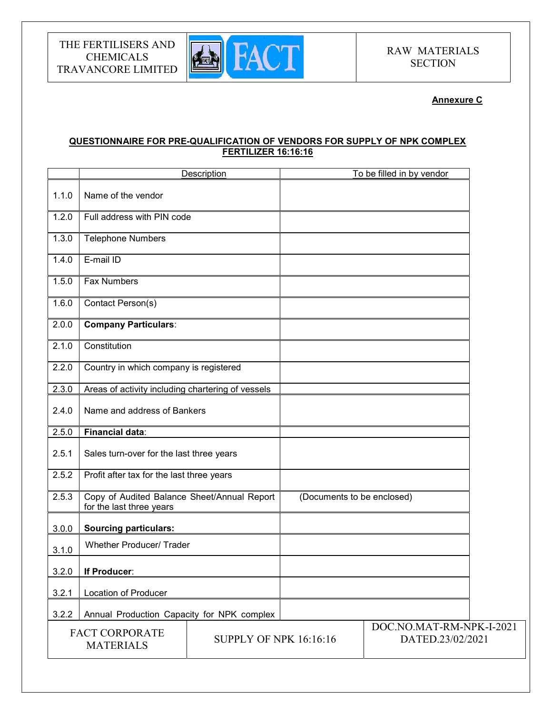

## Annexure C

## QUESTIONNAIRE FOR PRE-QUALIFICATION OF VENDORS FOR SUPPLY OF NPK COMPLEX FERTILIZER 16:16:16

|                                                                            |                                                                         | Description |                                              | To be filled in by vendor |  |
|----------------------------------------------------------------------------|-------------------------------------------------------------------------|-------------|----------------------------------------------|---------------------------|--|
| 1.1.0                                                                      | Name of the vendor                                                      |             |                                              |                           |  |
| 1.2.0                                                                      | Full address with PIN code                                              |             |                                              |                           |  |
| 1.3.0                                                                      | <b>Telephone Numbers</b>                                                |             |                                              |                           |  |
| 1.4.0                                                                      | E-mail ID                                                               |             |                                              |                           |  |
| 1.5.0                                                                      | <b>Fax Numbers</b>                                                      |             |                                              |                           |  |
| 1.6.0                                                                      | Contact Person(s)                                                       |             |                                              |                           |  |
| 2.0.0                                                                      | <b>Company Particulars:</b>                                             |             |                                              |                           |  |
| 2.1.0                                                                      | Constitution                                                            |             |                                              |                           |  |
| 2.2.0                                                                      | Country in which company is registered                                  |             |                                              |                           |  |
| 2.3.0                                                                      | Areas of activity including chartering of vessels                       |             |                                              |                           |  |
| 2.4.0                                                                      | Name and address of Bankers                                             |             |                                              |                           |  |
| 2.5.0                                                                      | <b>Financial data:</b>                                                  |             |                                              |                           |  |
| 2.5.1                                                                      | Sales turn-over for the last three years                                |             |                                              |                           |  |
| 2.5.2                                                                      | Profit after tax for the last three years                               |             |                                              |                           |  |
| 2.5.3                                                                      | Copy of Audited Balance Sheet/Annual Report<br>for the last three years |             | (Documents to be enclosed)                   |                           |  |
| 3.0.0                                                                      | <b>Sourcing particulars:</b>                                            |             |                                              |                           |  |
| 3.1.0                                                                      | <b>Whether Producer/ Trader</b>                                         |             |                                              |                           |  |
| 3.2.0                                                                      | If Producer:                                                            |             |                                              |                           |  |
| 3.2.1                                                                      | <b>Location of Producer</b>                                             |             |                                              |                           |  |
| 3.2.2                                                                      | Annual Production Capacity for NPK complex                              |             |                                              |                           |  |
| <b>FACT CORPORATE</b><br><b>SUPPLY OF NPK 16:16:16</b><br><b>MATERIALS</b> |                                                                         |             | DOC.NO.MAT-RM-NPK-I-2021<br>DATED.23/02/2021 |                           |  |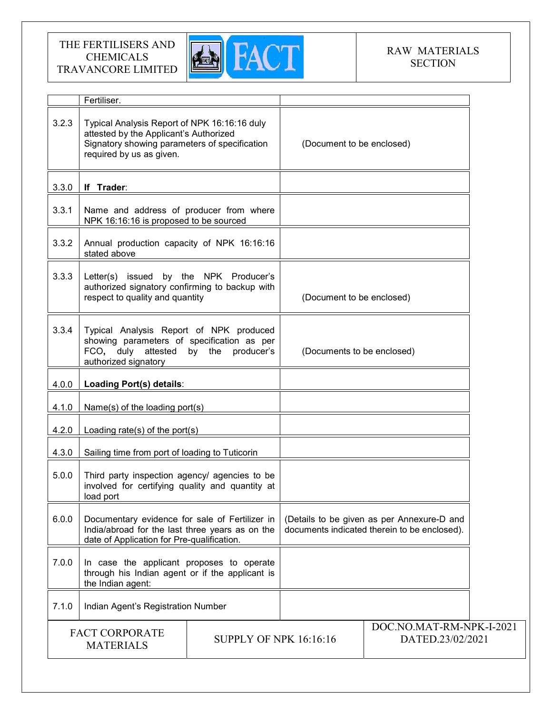

# RAW MATERIALS **SECTION**

|                                                                            | Fertiliser.                                                                                                                                                         |  |                                              |                                                                                            |  |
|----------------------------------------------------------------------------|---------------------------------------------------------------------------------------------------------------------------------------------------------------------|--|----------------------------------------------|--------------------------------------------------------------------------------------------|--|
| 3.2.3                                                                      | Typical Analysis Report of NPK 16:16:16 duly<br>attested by the Applicant's Authorized<br>Signatory showing parameters of specification<br>required by us as given. |  | (Document to be enclosed)                    |                                                                                            |  |
| 3.3.0                                                                      | If Trader:                                                                                                                                                          |  |                                              |                                                                                            |  |
| 3.3.1                                                                      | Name and address of producer from where<br>NPK 16:16:16 is proposed to be sourced                                                                                   |  |                                              |                                                                                            |  |
| 3.3.2                                                                      | Annual production capacity of NPK 16:16:16<br>stated above                                                                                                          |  |                                              |                                                                                            |  |
| 3.3.3                                                                      | Letter(s) issued by the NPK Producer's<br>authorized signatory confirming to backup with<br>respect to quality and quantity                                         |  | (Document to be enclosed)                    |                                                                                            |  |
| 3.3.4                                                                      | Typical Analysis Report of NPK produced<br>showing parameters of specification as per<br>FCO, duly attested by the<br>producer's<br>authorized signatory            |  | (Documents to be enclosed)                   |                                                                                            |  |
| 4.0.0                                                                      | Loading Port(s) details:                                                                                                                                            |  |                                              |                                                                                            |  |
| 4.1.0                                                                      | Name(s) of the loading port(s)                                                                                                                                      |  |                                              |                                                                                            |  |
| 4.2.0                                                                      | Loading rate(s) of the port(s)                                                                                                                                      |  |                                              |                                                                                            |  |
| 4.3.0                                                                      | Sailing time from port of loading to Tuticorin                                                                                                                      |  |                                              |                                                                                            |  |
| 5.0.0                                                                      | Third party inspection agency/ agencies to be<br>involved for certifying quality and quantity at<br>load port                                                       |  |                                              |                                                                                            |  |
| 6.0.0                                                                      | Documentary evidence for sale of Fertilizer in<br>India/abroad for the last three years as on the<br>date of Application for Pre-qualification.                     |  |                                              | (Details to be given as per Annexure-D and<br>documents indicated therein to be enclosed). |  |
| 7.0.0                                                                      | In case the applicant proposes to operate<br>through his Indian agent or if the applicant is<br>the Indian agent:                                                   |  |                                              |                                                                                            |  |
| 7.1.0                                                                      | Indian Agent's Registration Number                                                                                                                                  |  |                                              |                                                                                            |  |
| <b>FACT CORPORATE</b><br><b>SUPPLY OF NPK 16:16:16</b><br><b>MATERIALS</b> |                                                                                                                                                                     |  | DOC.NO.MAT-RM-NPK-I-2021<br>DATED.23/02/2021 |                                                                                            |  |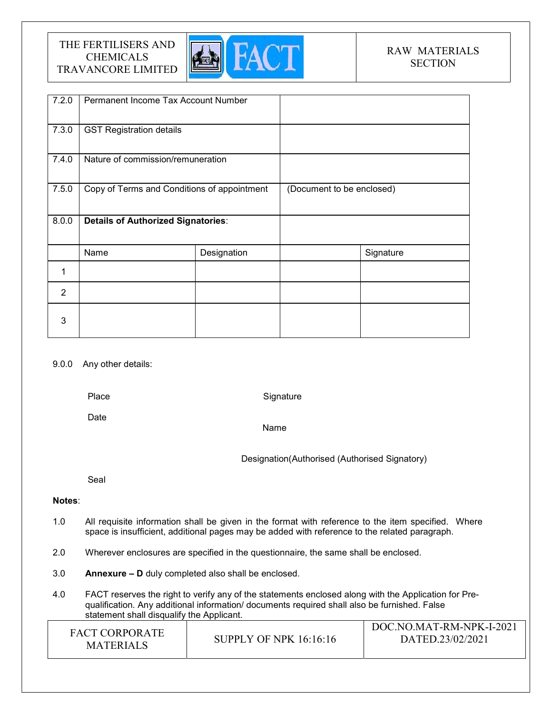

# RAW MATERIALS **SECTION**

| 7.2.0          | Permanent Income Tax Account Number         |             |                           |           |
|----------------|---------------------------------------------|-------------|---------------------------|-----------|
| 7.3.0          | <b>GST Registration details</b>             |             |                           |           |
| 7.4.0          | Nature of commission/remuneration           |             |                           |           |
| 7.5.0          | Copy of Terms and Conditions of appointment |             | (Document to be enclosed) |           |
| 8.0.0          | <b>Details of Authorized Signatories:</b>   |             |                           |           |
|                | Name                                        | Designation |                           | Signature |
| 1              |                                             |             |                           |           |
| $\overline{2}$ |                                             |             |                           |           |
| 3              |                                             |             |                           |           |

#### 9.0.0 Any other details:

Place

**Signature** 

Date

Name

Designation(Authorised (Authorised Signatory)

Seal

## Notes:

- 1.0 All requisite information shall be given in the format with reference to the item specified. Where space is insufficient, additional pages may be added with reference to the related paragraph.
- 2.0 Wherever enclosures are specified in the questionnaire, the same shall be enclosed.
- 3.0 Annexure D duly completed also shall be enclosed.
- 4.0 FACT reserves the right to verify any of the statements enclosed along with the Application for Prequalification. Any additional information/ documents required shall also be furnished. False statement shall disqualify the Applicant.

| <b>FACT CORPORATE</b><br><b>MATERIALS</b> | SUPPLY OF NPK $16:16:16$ | DOC.NO.MAT-RM-NPK-I-2021<br>DATED.23/02/2021 |
|-------------------------------------------|--------------------------|----------------------------------------------|
|-------------------------------------------|--------------------------|----------------------------------------------|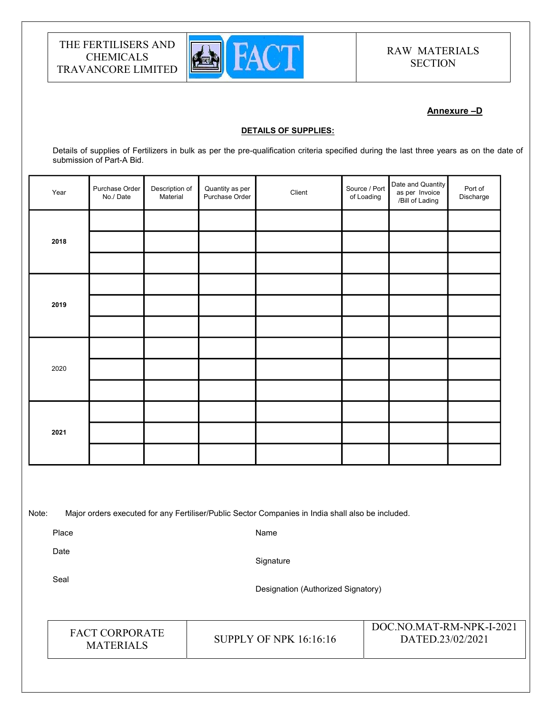

# RAW MATERIALS **SECTION**

## Annexure –D

#### DETAILS OF SUPPLIES:

Details of supplies of Fertilizers in bulk as per the pre-qualification criteria specified during the last three years as on the date of submission of Part-A Bid.

| Year  | Purchase Order<br>No./Date | Description of<br>Material | Quantity as per<br>Purchase Order | Client                                                                                            | Source / Port<br>of Loading | Date and Quantity<br>as per Invoice<br>/Bill of Lading | Port of<br>Discharge |  |
|-------|----------------------------|----------------------------|-----------------------------------|---------------------------------------------------------------------------------------------------|-----------------------------|--------------------------------------------------------|----------------------|--|
|       |                            |                            |                                   |                                                                                                   |                             |                                                        |                      |  |
| 2018  |                            |                            |                                   |                                                                                                   |                             |                                                        |                      |  |
|       |                            |                            |                                   |                                                                                                   |                             |                                                        |                      |  |
|       |                            |                            |                                   |                                                                                                   |                             |                                                        |                      |  |
| 2019  |                            |                            |                                   |                                                                                                   |                             |                                                        |                      |  |
|       |                            |                            |                                   |                                                                                                   |                             |                                                        |                      |  |
|       |                            |                            |                                   |                                                                                                   |                             |                                                        |                      |  |
| 2020  |                            |                            |                                   |                                                                                                   |                             |                                                        |                      |  |
|       |                            |                            |                                   |                                                                                                   |                             |                                                        |                      |  |
|       |                            |                            |                                   |                                                                                                   |                             |                                                        |                      |  |
| 2021  |                            |                            |                                   |                                                                                                   |                             |                                                        |                      |  |
|       |                            |                            |                                   |                                                                                                   |                             |                                                        |                      |  |
|       |                            |                            |                                   |                                                                                                   |                             |                                                        |                      |  |
|       |                            |                            |                                   |                                                                                                   |                             |                                                        |                      |  |
| Note: |                            |                            |                                   | Major orders executed for any Fertiliser/Public Sector Companies in India shall also be included. |                             |                                                        |                      |  |
| Place |                            |                            |                                   | Name                                                                                              |                             |                                                        |                      |  |
| Date  |                            |                            |                                   | Signature                                                                                         |                             |                                                        |                      |  |
| Seal  |                            |                            |                                   | Designation (Authorized Signatory)                                                                |                             |                                                        |                      |  |

FACT CORPORATE

ET CONFORATE SUPPLY OF NPK 16:16:16<br>MATERIALS

DOC.NO.MAT-RM-NPK-I-2021 DATED.23/02/2021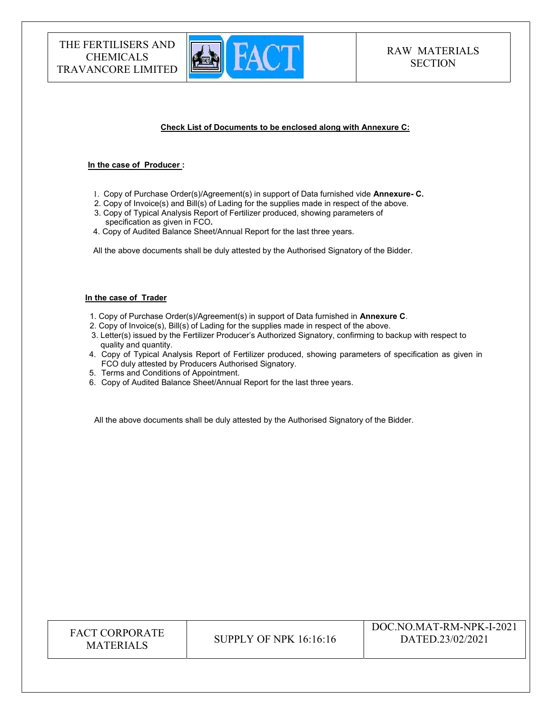

#### Check List of Documents to be enclosed along with Annexure C:

#### In the case of Producer :

- 1. Copy of Purchase Order(s)/Agreement(s) in support of Data furnished vide Annexure- C.
- 2. Copy of Invoice(s) and Bill(s) of Lading for the supplies made in respect of the above. 3. Copy of Typical Analysis Report of Fertilizer produced, showing parameters of specification as given in FCO.
- 4. Copy of Audited Balance Sheet/Annual Report for the last three years.

All the above documents shall be duly attested by the Authorised Signatory of the Bidder.

#### In the case of Trader

- 1. Copy of Purchase Order(s)/Agreement(s) in support of Data furnished in Annexure C.
- 2. Copy of Invoice(s), Bill(s) of Lading for the supplies made in respect of the above.
- 3. Letter(s) issued by the Fertilizer Producer's Authorized Signatory, confirming to backup with respect to quality and quantity.
- 4. Copy of Typical Analysis Report of Fertilizer produced, showing parameters of specification as given in FCO duly attested by Producers Authorised Signatory.
- 5. Terms and Conditions of Appointment.
- 6. Copy of Audited Balance Sheet/Annual Report for the last three years.

All the above documents shall be duly attested by the Authorised Signatory of the Bidder.

| <b>FACT CORPORATE</b><br><b>MATERIALS</b> | SUPPLY OF NPK 16:16:16 | DOC.NO.MAT-RM-NPK-I-2021<br>DATED.23/02/2021 |
|-------------------------------------------|------------------------|----------------------------------------------|
|-------------------------------------------|------------------------|----------------------------------------------|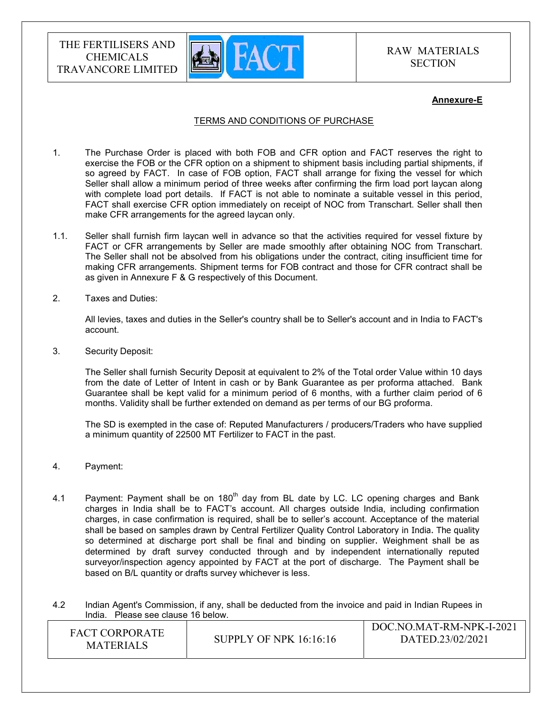

## RAW MATERIALS **SECTION**

#### Annexure-E

### TERMS AND CONDITIONS OF PURCHASE

- 1. The Purchase Order is placed with both FOB and CFR option and FACT reserves the right to exercise the FOB or the CFR option on a shipment to shipment basis including partial shipments, if so agreed by FACT. In case of FOB option, FACT shall arrange for fixing the vessel for which Seller shall allow a minimum period of three weeks after confirming the firm load port laycan along with complete load port details. If FACT is not able to nominate a suitable vessel in this period, FACT shall exercise CFR option immediately on receipt of NOC from Transchart. Seller shall then make CFR arrangements for the agreed laycan only.
- 1.1. Seller shall furnish firm laycan well in advance so that the activities required for vessel fixture by FACT or CFR arrangements by Seller are made smoothly after obtaining NOC from Transchart. The Seller shall not be absolved from his obligations under the contract, citing insufficient time for making CFR arrangements. Shipment terms for FOB contract and those for CFR contract shall be as given in Annexure F & G respectively of this Document.
- 2. Taxes and Duties:

All levies, taxes and duties in the Seller's country shall be to Seller's account and in India to FACT's account.

3. Security Deposit:

The Seller shall furnish Security Deposit at equivalent to 2% of the Total order Value within 10 days from the date of Letter of Intent in cash or by Bank Guarantee as per proforma attached. Bank Guarantee shall be kept valid for a minimum period of 6 months, with a further claim period of 6 months. Validity shall be further extended on demand as per terms of our BG proforma.

The SD is exempted in the case of: Reputed Manufacturers / producers/Traders who have supplied a minimum quantity of 22500 MT Fertilizer to FACT in the past.

- 4. Payment:
- 4.1 Payment: Payment shall be on  $180<sup>th</sup>$  day from BL date by LC. LC opening charges and Bank charges in India shall be to FACT's account. All charges outside India, including confirmation charges, in case confirmation is required, shall be to seller's account. Acceptance of the material shall be based on samples drawn by Central Fertilizer Quality Control Laboratory in India. The quality so determined at discharge port shall be final and binding on supplier. Weighment shall be as determined by draft survey conducted through and by independent internationally reputed surveyor/inspection agency appointed by FACT at the port of discharge. The Payment shall be based on B/L quantity or drafts survey whichever is less.

4.2 Indian Agent's Commission, if any, shall be deducted from the invoice and paid in Indian Rupees in India. Please see clause 16 below.

| <b>FACT CORPORATE</b><br><b>MATERIALS</b> | SUPPLY OF NPK 16:16:16 | DOC.NO.MAT-RM-NPK-I-2021<br>DATED.23/02/2021 |
|-------------------------------------------|------------------------|----------------------------------------------|
|-------------------------------------------|------------------------|----------------------------------------------|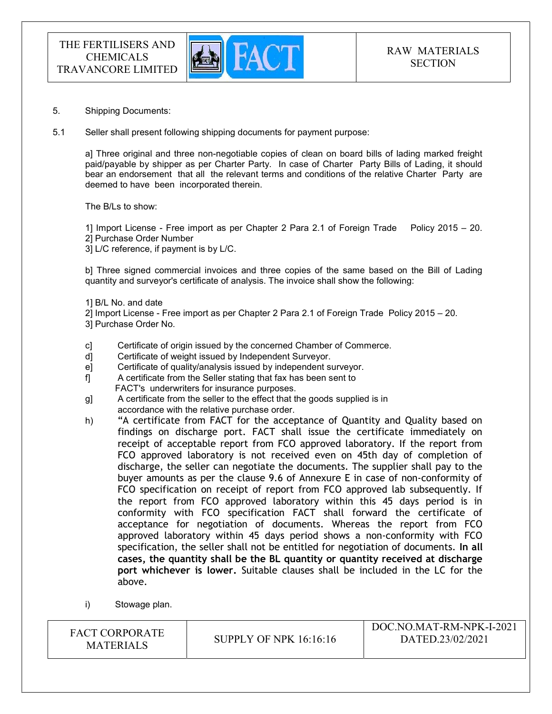

- 5. Shipping Documents:
- 5.1 Seller shall present following shipping documents for payment purpose:

a] Three original and three non-negotiable copies of clean on board bills of lading marked freight paid/payable by shipper as per Charter Party. In case of Charter Party Bills of Lading, it should bear an endorsement that all the relevant terms and conditions of the relative Charter Party are deemed to have been incorporated therein.

The B/Ls to show:

1] Import License - Free import as per Chapter 2 Para 2.1 of Foreign Trade Policy 2015 – 20. 2] Purchase Order Number

3] L/C reference, if payment is by L/C.

b] Three signed commercial invoices and three copies of the same based on the Bill of Lading quantity and surveyor's certificate of analysis. The invoice shall show the following:

- 1] B/L No. and date
- 2] Import License Free import as per Chapter 2 Para 2.1 of Foreign Trade Policy 2015 20.

3] Purchase Order No.

- c] Certificate of origin issued by the concerned Chamber of Commerce.
- d] Certificate of weight issued by Independent Surveyor.
- e] Certificate of quality/analysis issued by independent surveyor.
- f] A certificate from the Seller stating that fax has been sent to FACT's underwriters for insurance purposes.
- g] A certificate from the seller to the effect that the goods supplied is in accordance with the relative purchase order.
- h) "A certificate from FACT for the acceptance of Quantity and Quality based on findings on discharge port. FACT shall issue the certificate immediately on receipt of acceptable report from FCO approved laboratory. If the report from FCO approved laboratory is not received even on 45th day of completion of discharge, the seller can negotiate the documents. The supplier shall pay to the buyer amounts as per the clause 9.6 of Annexure E in case of non-conformity of FCO specification on receipt of report from FCO approved lab subsequently. If the report from FCO approved laboratory within this 45 days period is in conformity with FCO specification FACT shall forward the certificate of acceptance for negotiation of documents. Whereas the report from FCO approved laboratory within 45 days period shows a non-conformity with FCO specification, the seller shall not be entitled for negotiation of documents. In all cases, the quantity shall be the BL quantity or quantity received at discharge port whichever is lower. Suitable clauses shall be included in the LC for the above.
- i) Stowage plan.

FACT CORPORATE SUPPLY OF NPK 16:16:16<br>MATERIALS DOC.NO.MAT-RM-NPK-I-2021 DATED.23/02/2021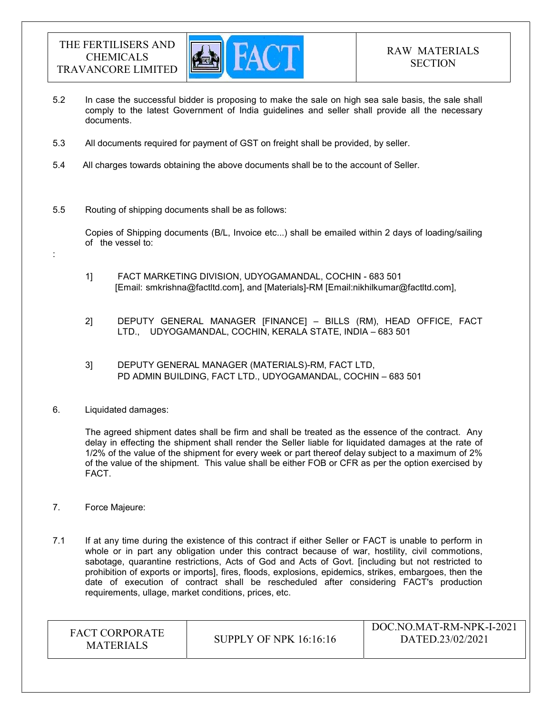

- 5.2 In case the successful bidder is proposing to make the sale on high sea sale basis, the sale shall comply to the latest Government of India guidelines and seller shall provide all the necessary documents.
- 5.3 All documents required for payment of GST on freight shall be provided, by seller.
- 5.4 All charges towards obtaining the above documents shall be to the account of Seller.
- 5.5 Routing of shipping documents shall be as follows:

 Copies of Shipping documents (B/L, Invoice etc...) shall be emailed within 2 days of loading/sailing of the vessel to:

- 1] FACT MARKETING DIVISION, UDYOGAMANDAL, COCHIN 683 501 [Email: smkrishna@factltd.com], and [Materials]-RM [Email:nikhilkumar@factltd.com],
- 2] DEPUTY GENERAL MANAGER [FINANCE] BILLS (RM), HEAD OFFICE, FACT LTD., UDYOGAMANDAL, COCHIN, KERALA STATE, INDIA – 683 501
- 3] DEPUTY GENERAL MANAGER (MATERIALS)-RM, FACT LTD, PD ADMIN BUILDING, FACT LTD., UDYOGAMANDAL, COCHIN – 683 501
- 6. Liquidated damages:

:

The agreed shipment dates shall be firm and shall be treated as the essence of the contract. Any delay in effecting the shipment shall render the Seller liable for liquidated damages at the rate of 1/2% of the value of the shipment for every week or part thereof delay subject to a maximum of 2% of the value of the shipment. This value shall be either FOB or CFR as per the option exercised by FACT.

- 7. Force Majeure:
- 7.1 If at any time during the existence of this contract if either Seller or FACT is unable to perform in whole or in part any obligation under this contract because of war, hostility, civil commotions, sabotage, quarantine restrictions, Acts of God and Acts of Govt. [including but not restricted to prohibition of exports or imports], fires, floods, explosions, epidemics, strikes, embargoes, then the date of execution of contract shall be rescheduled after considering FACT's production requirements, ullage, market conditions, prices, etc.

| <b>FACT CORPORATE</b><br><b>SUPPLY OF NPK 16:16:16</b><br><b>MATERIALS</b> | DOC.NO.MAT-RM-NPK-I-2021<br>DATED.23/02/2021 |
|----------------------------------------------------------------------------|----------------------------------------------|
|----------------------------------------------------------------------------|----------------------------------------------|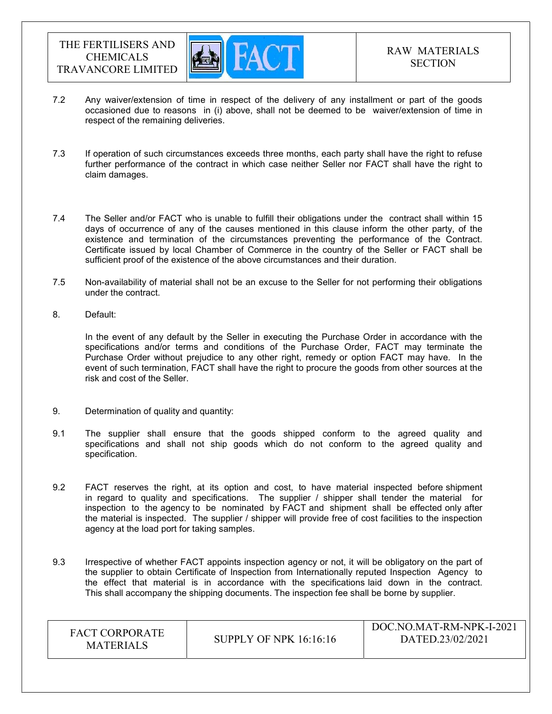

- 7.2 Any waiver/extension of time in respect of the delivery of any installment or part of the goods occasioned due to reasons in (i) above, shall not be deemed to be waiver/extension of time in respect of the remaining deliveries.
- 7.3 If operation of such circumstances exceeds three months, each party shall have the right to refuse further performance of the contract in which case neither Seller nor FACT shall have the right to claim damages.
- 7.4 The Seller and/or FACT who is unable to fulfill their obligations under the contract shall within 15 days of occurrence of any of the causes mentioned in this clause inform the other party, of the existence and termination of the circumstances preventing the performance of the Contract. Certificate issued by local Chamber of Commerce in the country of the Seller or FACT shall be sufficient proof of the existence of the above circumstances and their duration.
- 7.5 Non-availability of material shall not be an excuse to the Seller for not performing their obligations under the contract.
- 8. Default:

In the event of any default by the Seller in executing the Purchase Order in accordance with the specifications and/or terms and conditions of the Purchase Order, FACT may terminate the Purchase Order without prejudice to any other right, remedy or option FACT may have. In the event of such termination, FACT shall have the right to procure the goods from other sources at the risk and cost of the Seller.

- 9. Determination of quality and quantity:
- 9.1 The supplier shall ensure that the goods shipped conform to the agreed quality and specifications and shall not ship goods which do not conform to the agreed quality and specification.
- 9.2 FACT reserves the right, at its option and cost, to have material inspected before shipment in regard to quality and specifications. The supplier / shipper shall tender the material for inspection to the agency to be nominated by FACT and shipment shall be effected only after the material is inspected. The supplier / shipper will provide free of cost facilities to the inspection agency at the load port for taking samples.
- 9.3 Irrespective of whether FACT appoints inspection agency or not, it will be obligatory on the part of the supplier to obtain Certificate of Inspection from Internationally reputed Inspection Agency to the effect that material is in accordance with the specifications laid down in the contract. This shall accompany the shipping documents. The inspection fee shall be borne by supplier.

| <b>FACT CORPORATE</b><br><b>MATERIALS</b> | <b>SUPPLY OF NPK 16:16:16</b> | DOC.NO.MAT-RM-NPK-I-2021<br>DATED.23/02/2021 |
|-------------------------------------------|-------------------------------|----------------------------------------------|
|-------------------------------------------|-------------------------------|----------------------------------------------|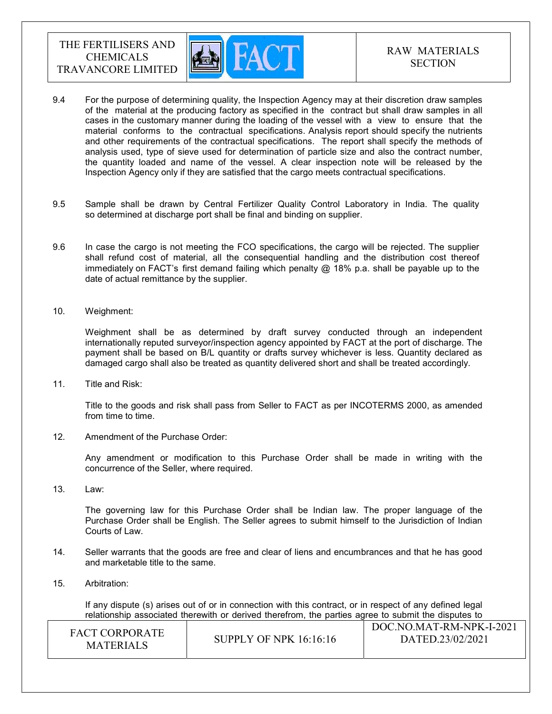

- 9.4 For the purpose of determining quality, the Inspection Agency may at their discretion draw samples of the material at the producing factory as specified in the contract but shall draw samples in all cases in the customary manner during the loading of the vessel with a view to ensure that the material conforms to the contractual specifications. Analysis report should specify the nutrients and other requirements of the contractual specifications. The report shall specify the methods of analysis used, type of sieve used for determination of particle size and also the contract number, the quantity loaded and name of the vessel. A clear inspection note will be released by the Inspection Agency only if they are satisfied that the cargo meets contractual specifications.
- 9.5 Sample shall be drawn by Central Fertilizer Quality Control Laboratory in India. The quality so determined at discharge port shall be final and binding on supplier.
- 9.6 In case the cargo is not meeting the FCO specifications, the cargo will be rejected. The supplier shall refund cost of material, all the consequential handling and the distribution cost thereof immediately on FACT's first demand failing which penalty  $@$  18% p.a. shall be payable up to the date of actual remittance by the supplier.
- 10. Weighment:

 Weighment shall be as determined by draft survey conducted through an independent internationally reputed surveyor/inspection agency appointed by FACT at the port of discharge. The payment shall be based on B/L quantity or drafts survey whichever is less. Quantity declared as damaged cargo shall also be treated as quantity delivered short and shall be treated accordingly.

11. Title and Risk:

Title to the goods and risk shall pass from Seller to FACT as per INCOTERMS 2000, as amended from time to time.

12. Amendment of the Purchase Order:

Any amendment or modification to this Purchase Order shall be made in writing with the concurrence of the Seller, where required.

13. Law:

The governing law for this Purchase Order shall be Indian law. The proper language of the Purchase Order shall be English. The Seller agrees to submit himself to the Jurisdiction of Indian Courts of Law.

- 14. Seller warrants that the goods are free and clear of liens and encumbrances and that he has good and marketable title to the same.
- 15. Arbitration:

If any dispute (s) arises out of or in connection with this contract, or in respect of any defined legal relationship associated therewith or derived therefrom, the parties agree to submit the disputes to

| <b>FACT CORPORATE</b><br>MATERIALS | <b>SUPPLY OF NPK 16:16:16</b> | DOC.NO.MAT-RM-NPK-I-2021<br>DATED.23/02/2021 |
|------------------------------------|-------------------------------|----------------------------------------------|
|------------------------------------|-------------------------------|----------------------------------------------|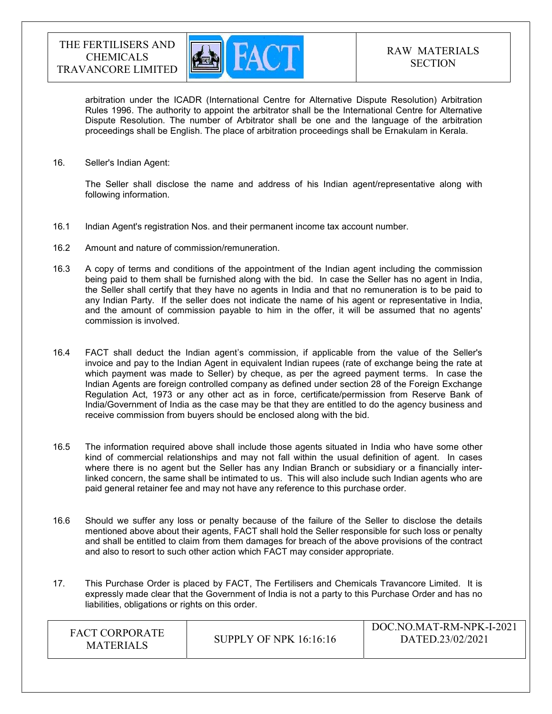

arbitration under the ICADR (International Centre for Alternative Dispute Resolution) Arbitration Rules 1996. The authority to appoint the arbitrator shall be the International Centre for Alternative Dispute Resolution. The number of Arbitrator shall be one and the language of the arbitration proceedings shall be English. The place of arbitration proceedings shall be Ernakulam in Kerala.

16. Seller's Indian Agent:

The Seller shall disclose the name and address of his Indian agent/representative along with following information.

- 16.1 Indian Agent's registration Nos. and their permanent income tax account number.
- 16.2 Amount and nature of commission/remuneration.
- 16.3 A copy of terms and conditions of the appointment of the Indian agent including the commission being paid to them shall be furnished along with the bid. In case the Seller has no agent in India, the Seller shall certify that they have no agents in India and that no remuneration is to be paid to any Indian Party. If the seller does not indicate the name of his agent or representative in India, and the amount of commission payable to him in the offer, it will be assumed that no agents' commission is involved.
- 16.4 FACT shall deduct the Indian agent's commission, if applicable from the value of the Seller's invoice and pay to the Indian Agent in equivalent Indian rupees (rate of exchange being the rate at which payment was made to Seller) by cheque, as per the agreed payment terms. In case the Indian Agents are foreign controlled company as defined under section 28 of the Foreign Exchange Regulation Act, 1973 or any other act as in force, certificate/permission from Reserve Bank of India/Government of India as the case may be that they are entitled to do the agency business and receive commission from buyers should be enclosed along with the bid.
- 16.5 The information required above shall include those agents situated in India who have some other kind of commercial relationships and may not fall within the usual definition of agent. In cases where there is no agent but the Seller has any Indian Branch or subsidiary or a financially interlinked concern, the same shall be intimated to us. This will also include such Indian agents who are paid general retainer fee and may not have any reference to this purchase order.
- 16.6 Should we suffer any loss or penalty because of the failure of the Seller to disclose the details mentioned above about their agents, FACT shall hold the Seller responsible for such loss or penalty and shall be entitled to claim from them damages for breach of the above provisions of the contract and also to resort to such other action which FACT may consider appropriate.
- 17. This Purchase Order is placed by FACT, The Fertilisers and Chemicals Travancore Limited. It is expressly made clear that the Government of India is not a party to this Purchase Order and has no liabilities, obligations or rights on this order.

| FACT CORPORATE<br><b>MATERIALS</b> | <b>SUPPLY OF NPK 16:16:16</b> | DOC.NO.MAT-RM-NPK-I-2021<br>DATED.23/02/2021 |
|------------------------------------|-------------------------------|----------------------------------------------|
|------------------------------------|-------------------------------|----------------------------------------------|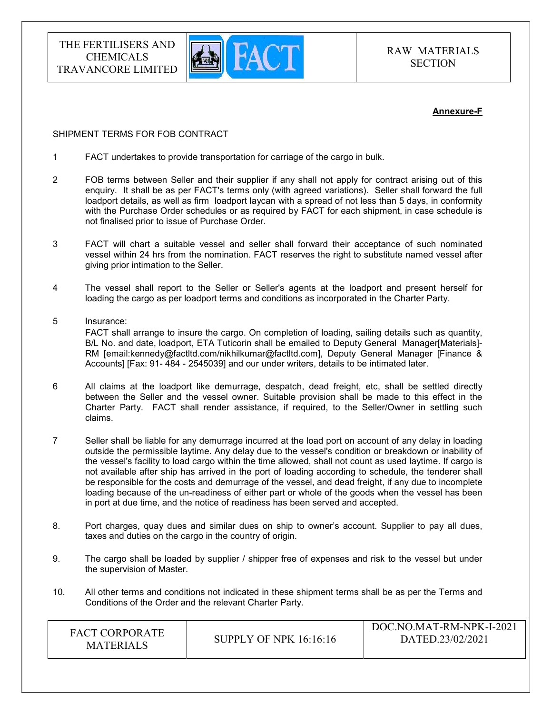

### Annexure-F

#### SHIPMENT TERMS FOR FOB CONTRACT

- 1 FACT undertakes to provide transportation for carriage of the cargo in bulk.
- 2 FOB terms between Seller and their supplier if any shall not apply for contract arising out of this enquiry. It shall be as per FACT's terms only (with agreed variations). Seller shall forward the full loadport details, as well as firm loadport laycan with a spread of not less than 5 days, in conformity with the Purchase Order schedules or as required by FACT for each shipment, in case schedule is not finalised prior to issue of Purchase Order.
- 3 FACT will chart a suitable vessel and seller shall forward their acceptance of such nominated vessel within 24 hrs from the nomination. FACT reserves the right to substitute named vessel after giving prior intimation to the Seller.
- 4 The vessel shall report to the Seller or Seller's agents at the loadport and present herself for loading the cargo as per loadport terms and conditions as incorporated in the Charter Party.
- 5 Insurance: FACT shall arrange to insure the cargo. On completion of loading, sailing details such as quantity, B/L No. and date, loadport, ETA Tuticorin shall be emailed to Deputy General Manager[Materials]- RM [email:kennedy@factltd.com/nikhilkumar@factltd.com], Deputy General Manager [Finance & Accounts] [Fax: 91- 484 - 2545039] and our under writers, details to be intimated later.
- 6 All claims at the loadport like demurrage, despatch, dead freight, etc, shall be settled directly between the Seller and the vessel owner. Suitable provision shall be made to this effect in the Charter Party. FACT shall render assistance, if required, to the Seller/Owner in settling such claims.
- 7 Seller shall be liable for any demurrage incurred at the load port on account of any delay in loading outside the permissible laytime. Any delay due to the vessel's condition or breakdown or inability of the vessel's facility to load cargo within the time allowed, shall not count as used laytime. If cargo is not available after ship has arrived in the port of loading according to schedule, the tenderer shall be responsible for the costs and demurrage of the vessel, and dead freight, if any due to incomplete loading because of the un-readiness of either part or whole of the goods when the vessel has been in port at due time, and the notice of readiness has been served and accepted.
- 8. Port charges, quay dues and similar dues on ship to owner's account. Supplier to pay all dues, taxes and duties on the cargo in the country of origin.
- 9. The cargo shall be loaded by supplier / shipper free of expenses and risk to the vessel but under the supervision of Master.
- 10. All other terms and conditions not indicated in these shipment terms shall be as per the Terms and Conditions of the Order and the relevant Charter Party.

| <b>FACT CORPORATE</b><br><b>MATERIALS</b> | <b>SUPPLY OF NPK 16:16:16</b> | DOC.NO.MAT-RM-NPK-I-2021<br>DATED.23/02/2021 |
|-------------------------------------------|-------------------------------|----------------------------------------------|
|-------------------------------------------|-------------------------------|----------------------------------------------|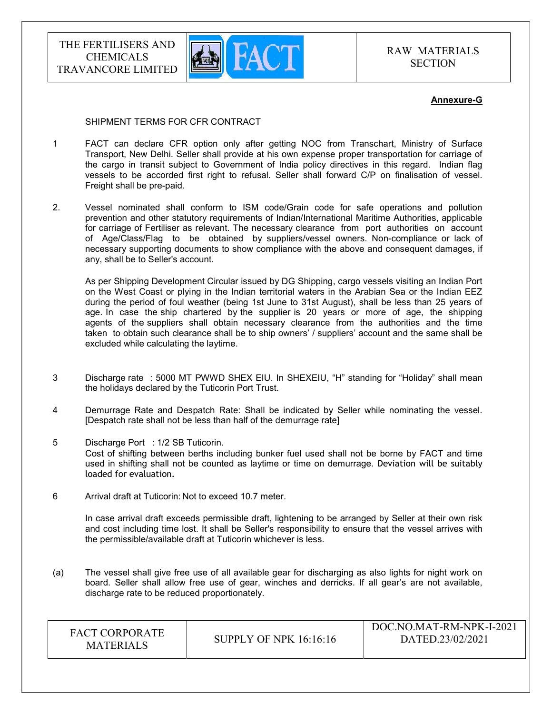

RAW MATERIALS **SECTION** 

### Annexure-G

#### SHIPMENT TERMS FOR CFR CONTRACT

- 1 FACT can declare CFR option only after getting NOC from Transchart, Ministry of Surface Transport, New Delhi. Seller shall provide at his own expense proper transportation for carriage of the cargo in transit subject to Government of India policy directives in this regard. Indian flag vessels to be accorded first right to refusal. Seller shall forward C/P on finalisation of vessel. Freight shall be pre-paid.
- 2. Vessel nominated shall conform to ISM code/Grain code for safe operations and pollution prevention and other statutory requirements of Indian/International Maritime Authorities, applicable for carriage of Fertiliser as relevant. The necessary clearance from port authorities on account of Age/Class/Flag to be obtained by suppliers/vessel owners. Non-compliance or lack of necessary supporting documents to show compliance with the above and consequent damages, if any, shall be to Seller's account.

 As per Shipping Development Circular issued by DG Shipping, cargo vessels visiting an Indian Port on the West Coast or plying in the Indian territorial waters in the Arabian Sea or the Indian EEZ during the period of foul weather (being 1st June to 31st August), shall be less than 25 years of age. In case the ship chartered by the supplier is 20 years or more of age, the shipping agents of the suppliers shall obtain necessary clearance from the authorities and the time taken to obtain such clearance shall be to ship owners' / suppliers' account and the same shall be excluded while calculating the laytime.

- 3 Discharge rate : 5000 MT PWWD SHEX EIU. In SHEXEIU, "H" standing for "Holiday" shall mean the holidays declared by the Tuticorin Port Trust.
- 4 Demurrage Rate and Despatch Rate: Shall be indicated by Seller while nominating the vessel. [Despatch rate shall not be less than half of the demurrage rate]
- 5 Discharge Port : 1/2 SB Tuticorin. Cost of shifting between berths including bunker fuel used shall not be borne by FACT and time used in shifting shall not be counted as laytime or time on demurrage. Deviation will be suitably loaded for evaluation.
- 6 Arrival draft at Tuticorin: Not to exceed 10.7 meter.

 In case arrival draft exceeds permissible draft, lightening to be arranged by Seller at their own risk and cost including time lost. It shall be Seller's responsibility to ensure that the vessel arrives with the permissible/available draft at Tuticorin whichever is less.

(a) The vessel shall give free use of all available gear for discharging as also lights for night work on board. Seller shall allow free use of gear, winches and derricks. If all gear's are not available, discharge rate to be reduced proportionately.

| <b>FACT CORPORATE</b><br><b>MATERIALS</b> | SUPPLY OF NPK $16:16:16$ | DOC.NO.MAT-RM-NPK-I-2021<br>DATED.23/02/2021 |
|-------------------------------------------|--------------------------|----------------------------------------------|
|-------------------------------------------|--------------------------|----------------------------------------------|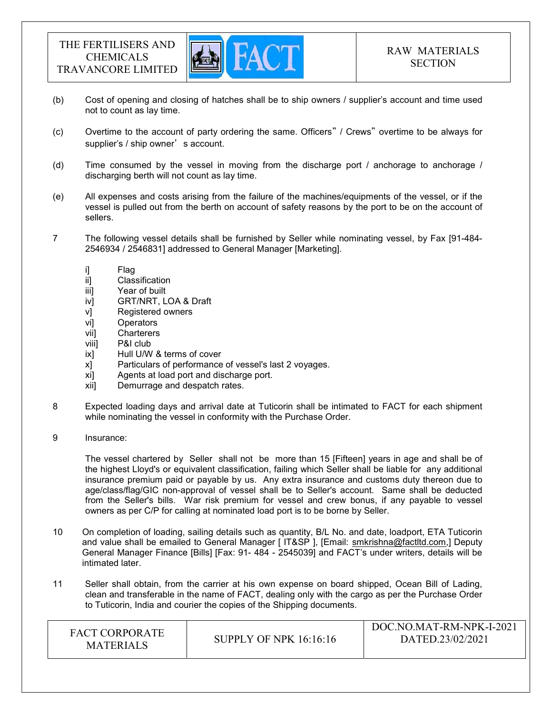

- (b) Cost of opening and closing of hatches shall be to ship owners / supplier's account and time used not to count as lay time.
- (c) Overtime to the account of party ordering the same. Officers" / Crews" overtime to be always for supplier's / ship owner's account.
- (d) Time consumed by the vessel in moving from the discharge port / anchorage to anchorage / discharging berth will not count as lay time.
- (e) All expenses and costs arising from the failure of the machines/equipments of the vessel, or if the vessel is pulled out from the berth on account of safety reasons by the port to be on the account of sellers.
- 7 The following vessel details shall be furnished by Seller while nominating vessel, by Fax [91-484- 2546934 / 2546831] addressed to General Manager [Marketing].
	-
	- i] Flag<br>ii] Clas Classification
	- iii] Year of built
	- iv] GRT/NRT, LOA & Draft
	- v] Registered owners
	- vi] Operators
	- vii] Charterers
	- viii] P&I club
	- ix] Hull U/W & terms of cover
	- x] Particulars of performance of vessel's last 2 voyages.
	- xi] Agents at load port and discharge port.
	- xii] Demurrage and despatch rates.
- 8 Expected loading days and arrival date at Tuticorin shall be intimated to FACT for each shipment while nominating the vessel in conformity with the Purchase Order.
- 9 Insurance:

 The vessel chartered by Seller shall not be more than 15 [Fifteen] years in age and shall be of the highest Lloyd's or equivalent classification, failing which Seller shall be liable for any additional insurance premium paid or payable by us. Any extra insurance and customs duty thereon due to age/class/flag/GIC non-approval of vessel shall be to Seller's account. Same shall be deducted from the Seller's bills. War risk premium for vessel and crew bonus, if any payable to vessel owners as per C/P for calling at nominated load port is to be borne by Seller.

- 10 On completion of loading, sailing details such as quantity, B/L No. and date, loadport, ETA Tuticorin and value shall be emailed to General Manager [ IT&SP ], [Email: smkrishna@factltd.com,] Deputy General Manager Finance [Bills] [Fax: 91- 484 - 2545039] and FACT's under writers, details will be intimated later.
- 11 Seller shall obtain, from the carrier at his own expense on board shipped, Ocean Bill of Lading, clean and transferable in the name of FACT, dealing only with the cargo as per the Purchase Order to Tuticorin, India and courier the copies of the Shipping documents.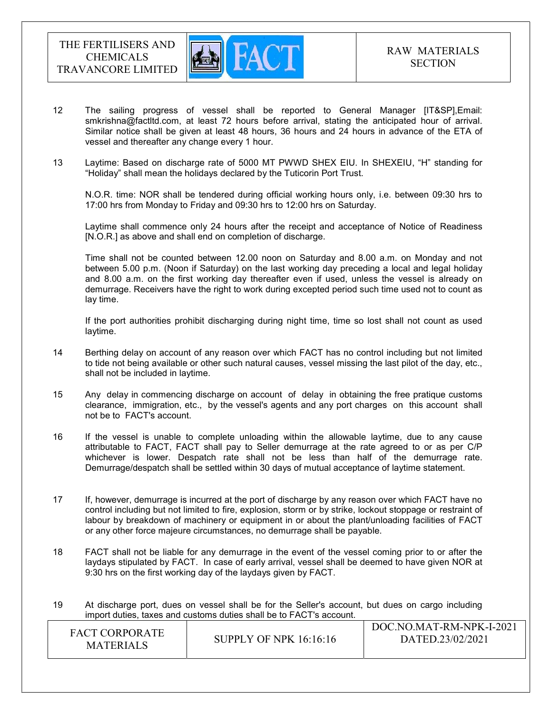

- 12 The sailing progress of vessel shall be reported to General Manager [IT&SP],Email: smkrishna@factltd.com, at least 72 hours before arrival, stating the anticipated hour of arrival. Similar notice shall be given at least 48 hours, 36 hours and 24 hours in advance of the ETA of vessel and thereafter any change every 1 hour.
- 13 Laytime: Based on discharge rate of 5000 MT PWWD SHEX EIU. In SHEXEIU, "H" standing for "Holiday" shall mean the holidays declared by the Tuticorin Port Trust.

 N.O.R. time: NOR shall be tendered during official working hours only, i.e. between 09:30 hrs to 17:00 hrs from Monday to Friday and 09:30 hrs to 12:00 hrs on Saturday.

 Laytime shall commence only 24 hours after the receipt and acceptance of Notice of Readiness [N.O.R.] as above and shall end on completion of discharge.

 Time shall not be counted between 12.00 noon on Saturday and 8.00 a.m. on Monday and not between 5.00 p.m. (Noon if Saturday) on the last working day preceding a local and legal holiday and 8.00 a.m. on the first working day thereafter even if used, unless the vessel is already on demurrage. Receivers have the right to work during excepted period such time used not to count as lay time.

 If the port authorities prohibit discharging during night time, time so lost shall not count as used laytime.

- 14 Berthing delay on account of any reason over which FACT has no control including but not limited to tide not being available or other such natural causes, vessel missing the last pilot of the day, etc., shall not be included in laytime.
- 15 Any delay in commencing discharge on account of delay in obtaining the free pratique customs clearance, immigration, etc., by the vessel's agents and any port charges on this account shall not be to FACT's account.
- 16 If the vessel is unable to complete unloading within the allowable laytime, due to any cause attributable to FACT, FACT shall pay to Seller demurrage at the rate agreed to or as per C/P whichever is lower. Despatch rate shall not be less than half of the demurrage rate. Demurrage/despatch shall be settled within 30 days of mutual acceptance of laytime statement.
- 17 If, however, demurrage is incurred at the port of discharge by any reason over which FACT have no control including but not limited to fire, explosion, storm or by strike, lockout stoppage or restraint of labour by breakdown of machinery or equipment in or about the plant/unloading facilities of FACT or any other force majeure circumstances, no demurrage shall be payable.
- 18 FACT shall not be liable for any demurrage in the event of the vessel coming prior to or after the laydays stipulated by FACT. In case of early arrival, vessel shall be deemed to have given NOR at 9:30 hrs on the first working day of the laydays given by FACT.
- 19 At discharge port, dues on vessel shall be for the Seller's account, but dues on cargo including import duties, taxes and customs duties shall be to FACT's account.

| DOC.NO.MAT-RM-NPK-I-2021<br><b>FACT CORPORATE</b><br>DATED.23/02/2021<br>SUPPLY OF NPK $16:16:16$<br><b>MATERIALS</b> |
|-----------------------------------------------------------------------------------------------------------------------|
|-----------------------------------------------------------------------------------------------------------------------|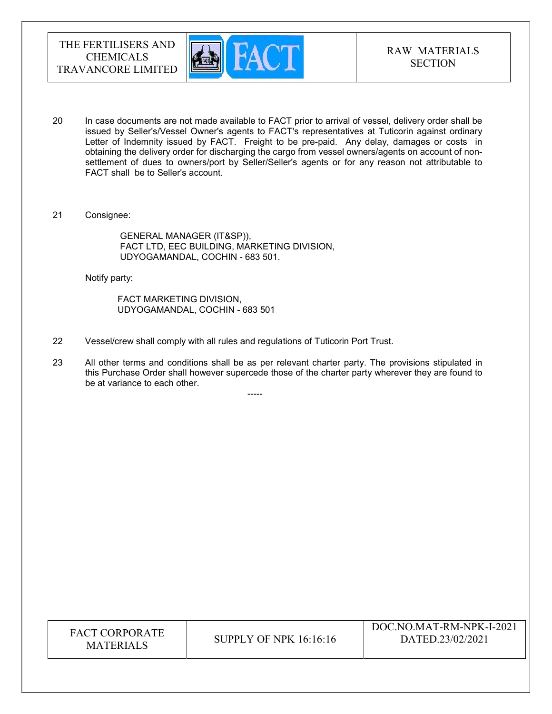

- 20 In case documents are not made available to FACT prior to arrival of vessel, delivery order shall be issued by Seller's/Vessel Owner's agents to FACT's representatives at Tuticorin against ordinary Letter of Indemnity issued by FACT. Freight to be pre-paid. Any delay, damages or costs in obtaining the delivery order for discharging the cargo from vessel owners/agents on account of nonsettlement of dues to owners/port by Seller/Seller's agents or for any reason not attributable to FACT shall be to Seller's account.
- 21 Consignee:

 GENERAL MANAGER (IT&SP)), FACT LTD, EEC BUILDING, MARKETING DIVISION, UDYOGAMANDAL, COCHIN - 683 501.

Notify party:

 FACT MARKETING DIVISION, UDYOGAMANDAL, COCHIN - 683 501

-----

- 22 Vessel/crew shall comply with all rules and regulations of Tuticorin Port Trust.
- 23 All other terms and conditions shall be as per relevant charter party. The provisions stipulated in this Purchase Order shall however supercede those of the charter party wherever they are found to be at variance to each other.

| <b>FACT CORPORATE</b><br><b>MATERIALS</b> | SUPPLY OF NPK $16:16:16$ | DOC.NO.MAT-RM-NPK-I-2021<br>DATED.23/02/2021 |
|-------------------------------------------|--------------------------|----------------------------------------------|
|-------------------------------------------|--------------------------|----------------------------------------------|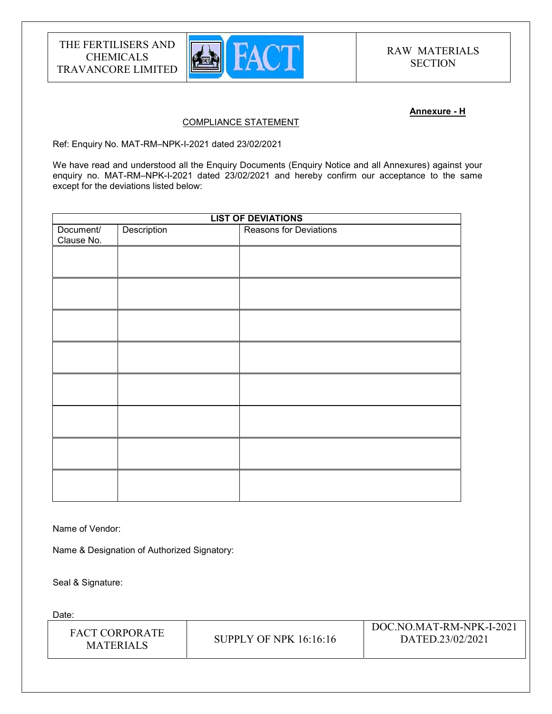

### Annexure - H

### COMPLIANCE STATEMENT

Ref: Enquiry No. MAT-RM–NPK-I-2021 dated 23/02/2021

We have read and understood all the Enquiry Documents (Enquiry Notice and all Annexures) against your enquiry no. MAT-RM-NPK-I-2021 dated 23/02/2021 and hereby confirm our acceptance to the same except for the deviations listed below:

| <b>LIST OF DEVIATIONS</b> |             |                        |
|---------------------------|-------------|------------------------|
| Document/<br>Clause No.   | Description | Reasons for Deviations |
|                           |             |                        |
|                           |             |                        |
|                           |             |                        |
|                           |             |                        |
|                           |             |                        |
|                           |             |                        |
|                           |             |                        |
|                           |             |                        |
|                           |             |                        |

Name of Vendor:

Name & Designation of Authorized Signatory:

Seal & Signature:

Date:

| FACT CORPORATE<br><b>MATERIALS</b> | SUPPLY OF NPK $16:16:16$ | DOC.NO.MAT-RM-NPK-I-2021<br>DATED.23/02/2021 |
|------------------------------------|--------------------------|----------------------------------------------|
|------------------------------------|--------------------------|----------------------------------------------|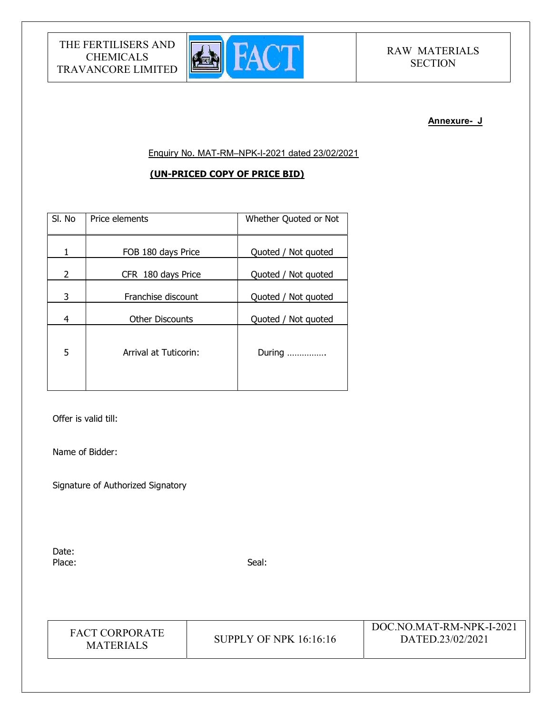

# RAW MATERIALS **SECTION**

#### Annexure- J

Enquiry No. MAT-RM–NPK-I-2021 dated 23/02/2021

## (UN-PRICED COPY OF PRICE BID)

| SI. No         | Price elements         | Whether Quoted or Not |
|----------------|------------------------|-----------------------|
| 1              | FOB 180 days Price     | Quoted / Not quoted   |
| $\overline{2}$ | CFR 180 days Price     | Quoted / Not quoted   |
| 3              | Franchise discount     | Quoted / Not quoted   |
| 4              | <b>Other Discounts</b> | Quoted / Not quoted   |
| 5              | Arrival at Tuticorin:  | During                |

Offer is valid till:

Name of Bidder:

Signature of Authorized Signatory

Date: Place: Seal: Seal: Seal: Seal: Seal: Seal: Seal: Seal: Seal: Seal: Seal: Seal: Seal: Seal: Seal: Seal: Seal: Seal: Seal: Seal: Seal: Seal: Seal: Seal: Seal: Seal: Seal: Seal: Seal: Seal: Seal: Seal: Seal: Seal: Seal: Seal:

| <b>FACT CORPORATE</b> |
|-----------------------|
| <b>MATERIALS</b>      |

**SUPPLY OF NPK 16:16:16**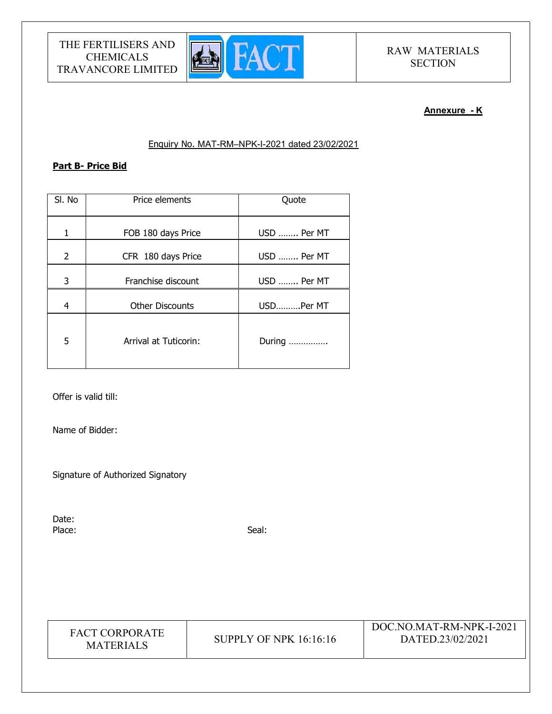

# RAW MATERIALS **SECTION**

# Annexure - K

## Enquiry No. MAT-RM–NPK-I-2021 dated 23/02/2021

# Part B- Price Bid

| SI. No | Price elements         | Quote       |
|--------|------------------------|-------------|
| 1      | FOB 180 days Price     | USD  Per MT |
| 2      | CFR 180 days Price     | USD  Per MT |
| 3      | Franchise discount     | USD  Per MT |
| 4      | <b>Other Discounts</b> | USDPer MT   |
| 5      | Arrival at Tuticorin:  | During      |

Offer is valid till:

Name of Bidder:

Signature of Authorized Signatory

Date: Place: Seal: Seal: Seal: Seal: Seal: Seal: Seal: Seal: Seal: Seal: Seal: Seal: Seal: Seal: Seal: Seal: Seal: Seal: Seal: Seal: Seal: Seal: Seal: Seal: Seal: Seal: Seal: Seal: Seal: Seal: Seal: Seal: Seal: Seal: Seal: Seal:

| <b>FACT CORPORATE</b><br><b>MATERIALS</b> | SUPPLY OF NPK 16:16:16 | DOC.NO.MAT-RM-NPK-I-2021<br>DATED.23/02/2021 |
|-------------------------------------------|------------------------|----------------------------------------------|
|-------------------------------------------|------------------------|----------------------------------------------|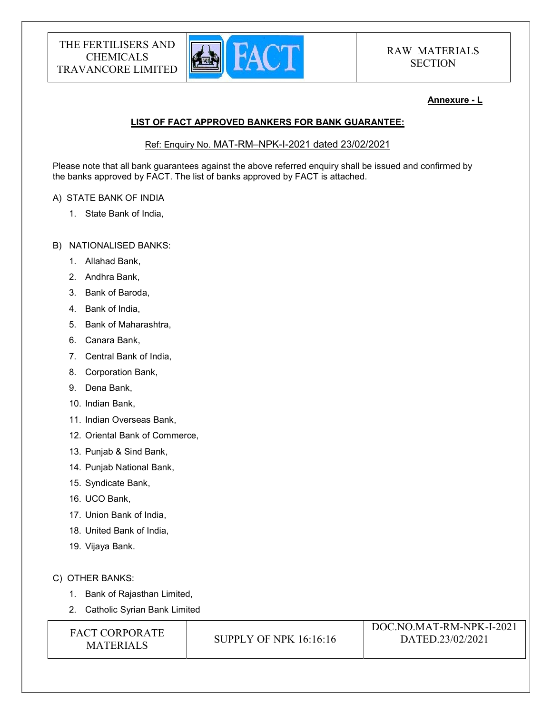

## Annexure - L

# LIST OF FACT APPROVED BANKERS FOR BANK GUARANTEE:

Ref: Enquiry No. MAT-RM–NPK-I-2021 dated 23/02/2021

Please note that all bank guarantees against the above referred enquiry shall be issued and confirmed by the banks approved by FACT. The list of banks approved by FACT is attached.

## A) STATE BANK OF INDIA

- 1. State Bank of India,
- B) NATIONALISED BANKS:
	- 1. Allahad Bank,
	- 2. Andhra Bank,
	- 3. Bank of Baroda,
	- 4. Bank of India,
	- 5. Bank of Maharashtra,
	- 6. Canara Bank,
	- 7. Central Bank of India,
	- 8. Corporation Bank,
	- 9. Dena Bank,
	- 10. Indian Bank,
	- 11. Indian Overseas Bank,
	- 12. Oriental Bank of Commerce,
	- 13. Punjab & Sind Bank,
	- 14. Punjab National Bank,
	- 15. Syndicate Bank,
	- 16. UCO Bank,
	- 17. Union Bank of India,
	- 18. United Bank of India,
	- 19. Vijaya Bank.

## C) OTHER BANKS:

- 1. Bank of Rajasthan Limited,
- 2. Catholic Syrian Bank Limited

| <b>FACT CORPORATE</b> |
|-----------------------|
| <b>MATERIALS</b>      |

**SUPPLY OF NPK 16:16:16**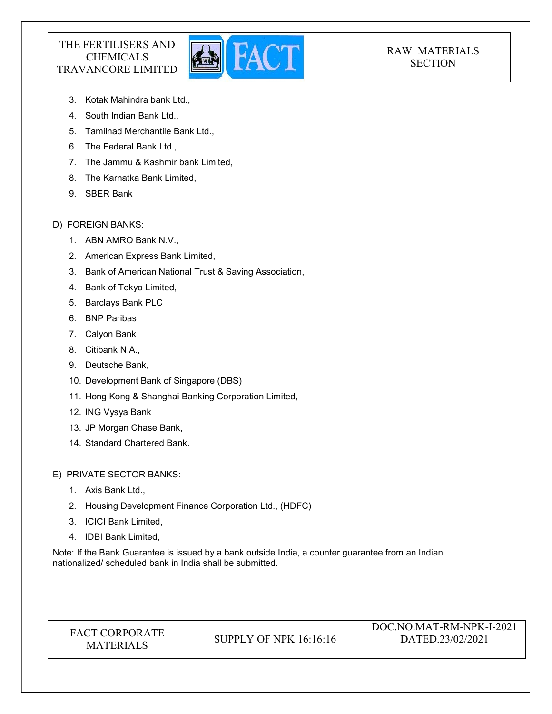

# RAW MATERIALS **SECTION**

- 3. Kotak Mahindra bank Ltd.,
- 4. South Indian Bank Ltd.,
- 5. Tamilnad Merchantile Bank Ltd.,
- 6. The Federal Bank Ltd.,
- 7. The Jammu & Kashmir bank Limited,
- 8. The Karnatka Bank Limited,
- 9. SBER Bank

## D) FOREIGN BANKS:

- 1. ABN AMRO Bank N.V.,
- 2. American Express Bank Limited,
- 3. Bank of American National Trust & Saving Association,
- 4. Bank of Tokyo Limited,
- 5. Barclays Bank PLC
- 6. BNP Paribas
- 7. Calyon Bank
- 8. Citibank N.A.,
- 9. Deutsche Bank,
- 10. Development Bank of Singapore (DBS)
- 11. Hong Kong & Shanghai Banking Corporation Limited,
- 12. ING Vysya Bank
- 13. JP Morgan Chase Bank,
- 14. Standard Chartered Bank.

E) PRIVATE SECTOR BANKS:

- 1. Axis Bank Ltd.,
- 2. Housing Development Finance Corporation Ltd., (HDFC)
- 3. ICICI Bank Limited,
- 4. IDBI Bank Limited,

Note: If the Bank Guarantee is issued by a bank outside India, a counter guarantee from an Indian nationalized/ scheduled bank in India shall be submitted.

| <b>FACT CORPORATE</b><br>SUPPLY OF NPK 16:16:16<br><b>MATERIALS</b> | DOC.NO.MAT-RM-NPK-I-2021<br>DATED.23/02/2021 |
|---------------------------------------------------------------------|----------------------------------------------|
|---------------------------------------------------------------------|----------------------------------------------|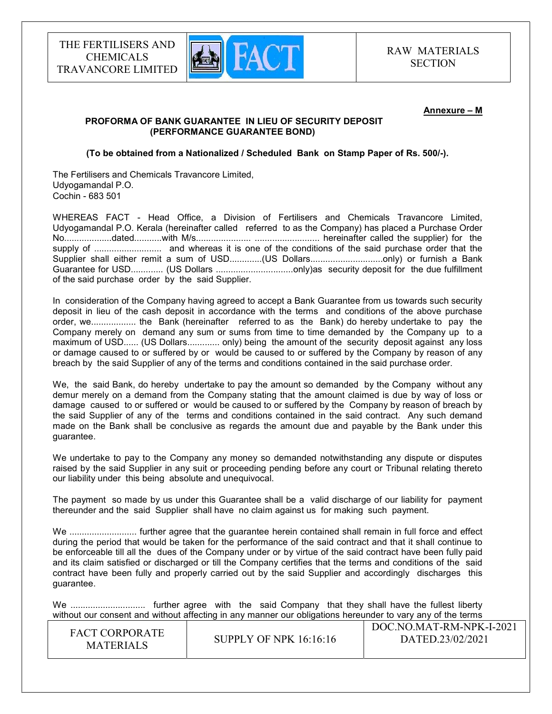

#### Annexure – M

### PROFORMA OF BANK GUARANTEE IN LIEU OF SECURITY DEPOSIT (PERFORMANCE GUARANTEE BOND)

(To be obtained from a Nationalized / Scheduled Bank on Stamp Paper of Rs. 500/-).

The Fertilisers and Chemicals Travancore Limited, Udyogamandal P.O. Cochin - 683 501

WHEREAS FACT - Head Office, a Division of Fertilisers and Chemicals Travancore Limited, Udyogamandal P.O. Kerala (hereinafter called referred to as the Company) has placed a Purchase Order No...................dated...........with M/s...................... .......................... hereinafter called the supplier) for the supply of ........................... and whereas it is one of the conditions of the said purchase order that the Supplier shall either remit a sum of USD.............(US Dollars................................only) or furnish a Bank Guarantee for USD............. (US Dollars ...............................only)as security deposit for the due fulfillment of the said purchase order by the said Supplier.

In consideration of the Company having agreed to accept a Bank Guarantee from us towards such security deposit in lieu of the cash deposit in accordance with the terms and conditions of the above purchase order, we.................. the Bank (hereinafter referred to as the Bank) do hereby undertake to pay the Company merely on demand any sum or sums from time to time demanded by the Company up to a maximum of USD...... (US Dollars............. only) being the amount of the security deposit against any loss or damage caused to or suffered by or would be caused to or suffered by the Company by reason of any breach by the said Supplier of any of the terms and conditions contained in the said purchase order.

We, the said Bank, do hereby undertake to pay the amount so demanded by the Company without any demur merely on a demand from the Company stating that the amount claimed is due by way of loss or damage caused to or suffered or would be caused to or suffered by the Company by reason of breach by the said Supplier of any of the terms and conditions contained in the said contract. Any such demand made on the Bank shall be conclusive as regards the amount due and payable by the Bank under this guarantee.

We undertake to pay to the Company any money so demanded notwithstanding any dispute or disputes raised by the said Supplier in any suit or proceeding pending before any court or Tribunal relating thereto our liability under this being absolute and unequivocal.

The payment so made by us under this Guarantee shall be a valid discharge of our liability for payment thereunder and the said Supplier shall have no claim against us for making such payment.

We ........................... further agree that the guarantee herein contained shall remain in full force and effect during the period that would be taken for the performance of the said contract and that it shall continue to be enforceable till all the dues of the Company under or by virtue of the said contract have been fully paid and its claim satisfied or discharged or till the Company certifies that the terms and conditions of the said contract have been fully and properly carried out by the said Supplier and accordingly discharges this guarantee.

We .............................. further agree with the said Company that they shall have the fullest liberty without our consent and without affecting in any manner our obligations hereunder to vary any of the terms

| <b>FACT CORPORATE</b><br>SUPPLY OF NPK $16:16:16$<br><b>MATERIALS</b> | DOC.NO.MAT-RM-NPK-I-2021<br>DATED.23/02/2021 |
|-----------------------------------------------------------------------|----------------------------------------------|
|-----------------------------------------------------------------------|----------------------------------------------|